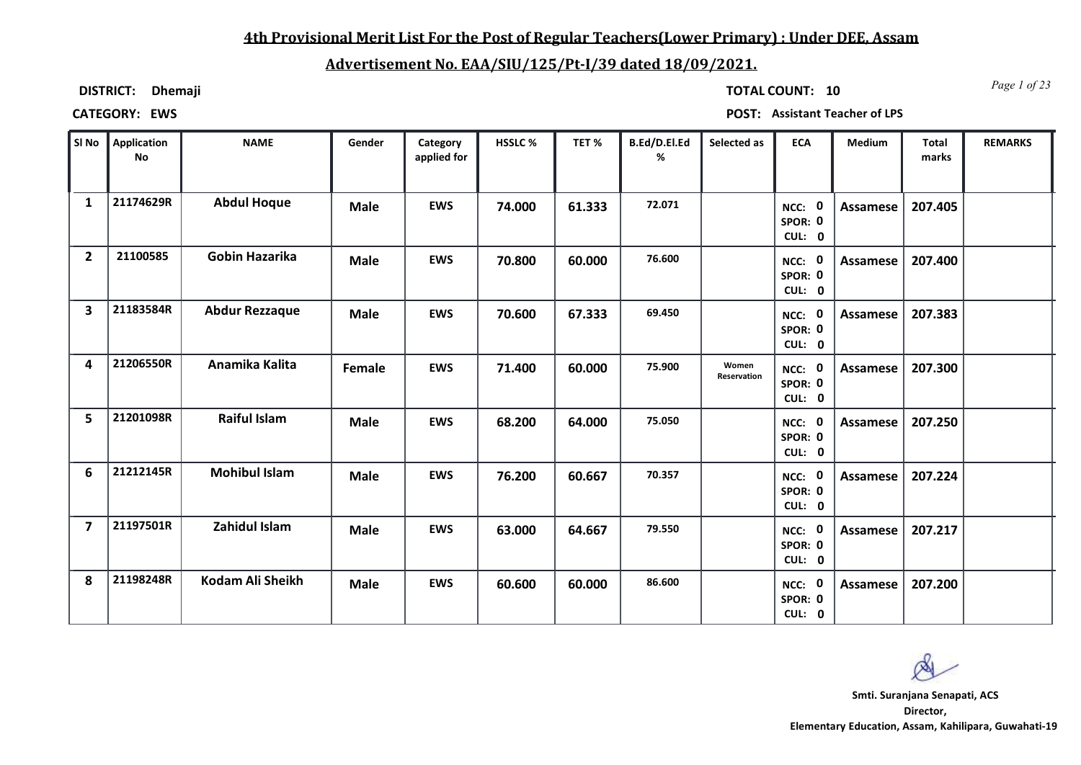## **4th Provisional Merit List For the Post of Regular Teachers(Lower Primary) : Under DEE, Assam**

# **Advertisement No. EAA/SIU/125/Pt-I/39 dated 18/09/2021.**

**DISTRICT: Dhemaji**

*Page 1 of 23* **TOTAL COUNT: 10**

**CATEGORY: EWS POST: Assistant Teacher of LPS**

| SI No                   | <b>Application</b><br><b>No</b> | <b>NAME</b>           | Gender      | Category<br>applied for | HSSLC % | TET%   | B.Ed/D.El.Ed<br>% | Selected as          | <b>ECA</b>                  | Medium          | Total<br>marks | <b>REMARKS</b> |
|-------------------------|---------------------------------|-----------------------|-------------|-------------------------|---------|--------|-------------------|----------------------|-----------------------------|-----------------|----------------|----------------|
| $\mathbf{1}$            | 21174629R                       | <b>Abdul Hoque</b>    | <b>Male</b> | <b>EWS</b>              | 74.000  | 61.333 | 72.071            |                      | NCC: 0<br>SPOR: 0<br>CUL: 0 | Assamese        | 207.405        |                |
| $\overline{2}$          | 21100585                        | Gobin Hazarika        | <b>Male</b> | <b>EWS</b>              | 70.800  | 60.000 | 76.600            |                      | NCC: 0<br>SPOR: 0<br>CUL: 0 | Assamese        | 207.400        |                |
| 3                       | 21183584R                       | <b>Abdur Rezzaque</b> | <b>Male</b> | <b>EWS</b>              | 70.600  | 67.333 | 69.450            |                      | NCC: 0<br>SPOR: 0<br>CUL: 0 | <b>Assamese</b> | 207.383        |                |
| 4                       | 21206550R                       | Anamika Kalita        | Female      | <b>EWS</b>              | 71.400  | 60.000 | 75.900            | Women<br>Reservation | NCC: 0<br>SPOR: 0<br>CUL: 0 | Assamese        | 207.300        |                |
| 5                       | 21201098R                       | <b>Raiful Islam</b>   | <b>Male</b> | <b>EWS</b>              | 68.200  | 64.000 | 75.050            |                      | NCC: 0<br>SPOR: 0<br>CUL: 0 | Assamese        | 207.250        |                |
| 6                       | 21212145R                       | <b>Mohibul Islam</b>  | <b>Male</b> | <b>EWS</b>              | 76.200  | 60.667 | 70.357            |                      | NCC: 0<br>SPOR: 0<br>CUL: 0 | Assamese        | 207.224        |                |
| $\overline{\mathbf{z}}$ | 21197501R                       | Zahidul Islam         | <b>Male</b> | <b>EWS</b>              | 63.000  | 64.667 | 79.550            |                      | NCC: 0<br>SPOR: 0<br>CUL: 0 | <b>Assamese</b> | 207.217        |                |
| 8                       | 21198248R                       | Kodam Ali Sheikh      | <b>Male</b> | <b>EWS</b>              | 60.600  | 60.000 | 86.600            |                      | NCC: 0<br>SPOR: 0<br>CUL: 0 | Assamese        | 207.200        |                |

**Director, Elementary Education, Assam, Kahilipara, Guwahati-19 Smti. Suranjana Senapati, ACS**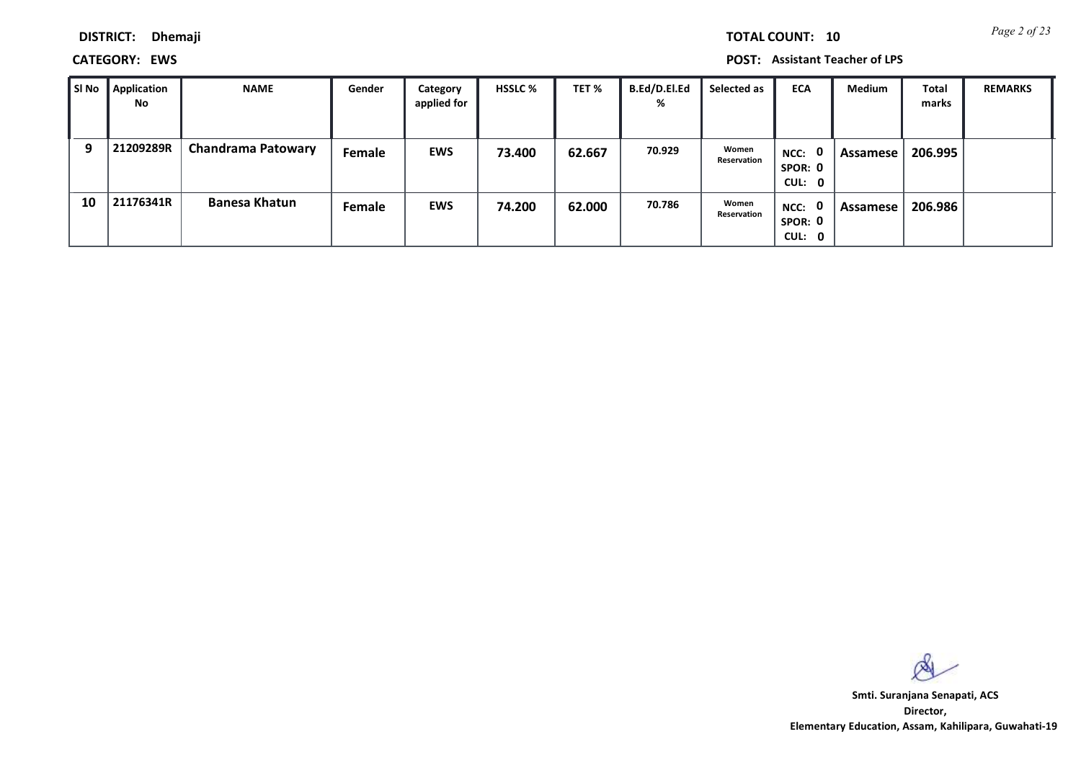**DISTRICT: Dhemaji**

**CATEGORY: EWS POST: Assistant Teacher of LPS**

| SI No | Application<br>No | <b>NAME</b>               | Gender | Category<br>applied for | <b>HSSLC %</b> | TET %  | <b>B.Ed/D.El.Ed</b><br>% | Selected as          | <b>ECA</b>                  | <b>Medium</b> | <b>Total</b><br>marks | <b>REMARKS</b> |
|-------|-------------------|---------------------------|--------|-------------------------|----------------|--------|--------------------------|----------------------|-----------------------------|---------------|-----------------------|----------------|
| 9     | 21209289R         | <b>Chandrama Patowary</b> | Female | <b>EWS</b>              | 73.400         | 62.667 | 70.929                   | Women<br>Reservation | NCC: 0<br>SPOR: 0<br>CUL: 0 | Assamese      | 206.995               |                |
| 10    | 21176341R         | <b>Banesa Khatun</b>      | Female | <b>EWS</b>              | 74.200         | 62.000 | 70.786                   | Women<br>Reservation | NCC: 0<br>SPOR: 0<br>CUL: 0 | Assamese      | 206.986               |                |

 $\infty$ 

**Director, Elementary Education, Assam, Kahilipara, Guwahati-19 Smti. Suranjana Senapati, ACS**

*Page 2 of 23* **TOTAL COUNT: 10**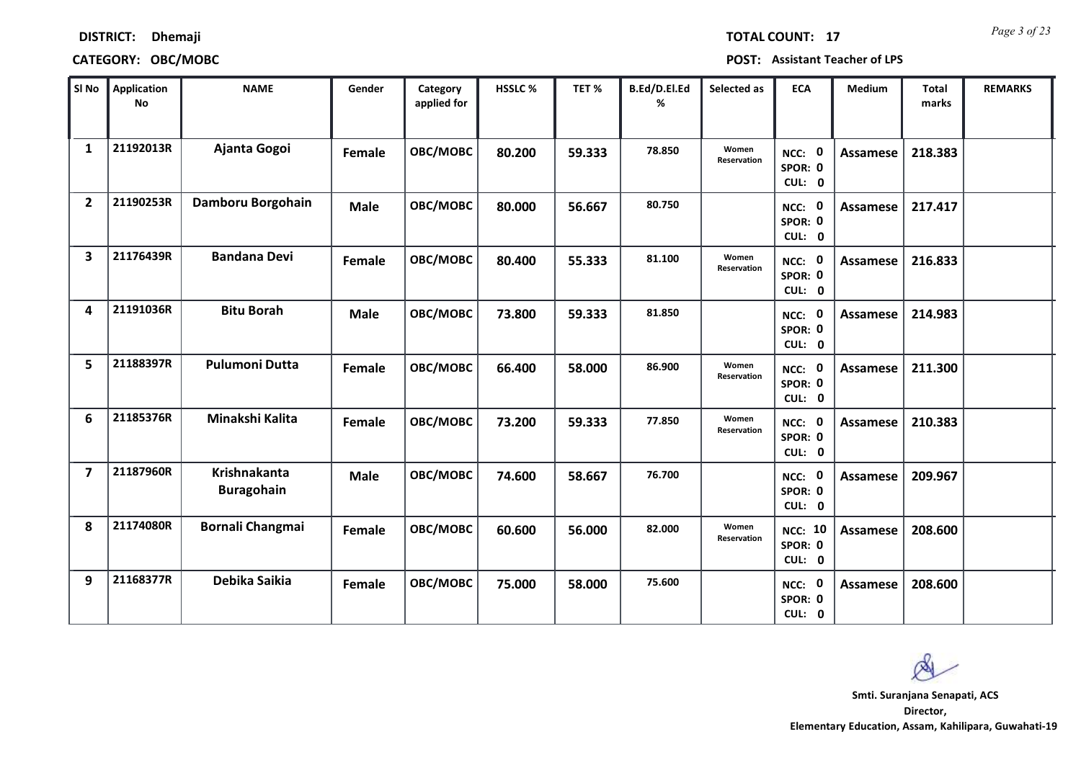| <b>TOTAL COUNT:</b> |  | 1 |
|---------------------|--|---|
|                     |  |   |

### **DISTRICT: Dhemaji**

### **CATEGORY: OBC/MOBC POST: Assistant Teacher of LPS**

| SI No                   | <b>Application</b><br>$\mathop{\mathsf{No}}$ | <b>NAME</b>                              | Gender      | Category<br>applied for | HSSLC % | TET %  | B.Ed/D.El.Ed<br>% | Selected as          | <b>ECA</b>                          | <b>Medium</b>   | <b>Total</b><br>marks | <b>REMARKS</b> |
|-------------------------|----------------------------------------------|------------------------------------------|-------------|-------------------------|---------|--------|-------------------|----------------------|-------------------------------------|-----------------|-----------------------|----------------|
| $\mathbf{1}$            | 21192013R                                    | Ajanta Gogoi                             | Female      | OBC/MOBC                | 80.200  | 59.333 | 78.850            | Women<br>Reservation | NCC: 0<br>SPOR: 0<br>CUL: 0         | <b>Assamese</b> | 218.383               |                |
| $\mathbf{2}$            | 21190253R                                    | Damboru Borgohain                        | <b>Male</b> | OBC/MOBC                | 80.000  | 56.667 | 80.750            |                      | NCC: 0<br>SPOR: 0<br>CUL: 0         | Assamese        | 217.417               |                |
| 3                       | 21176439R                                    | <b>Bandana Devi</b>                      | Female      | OBC/MOBC                | 80.400  | 55.333 | 81.100            | Women<br>Reservation | NCC: 0<br>SPOR: 0<br>CUL: 0         | <b>Assamese</b> | 216.833               |                |
| 4                       | 21191036R                                    | <b>Bitu Borah</b>                        | <b>Male</b> | OBC/MOBC                | 73.800  | 59.333 | 81.850            |                      | NCC: 0<br>SPOR: 0<br>CUL: 0         | <b>Assamese</b> | 214.983               |                |
| 5                       | 21188397R                                    | <b>Pulumoni Dutta</b>                    | Female      | OBC/MOBC                | 66.400  | 58.000 | 86.900            | Women<br>Reservation | NCC: 0<br>SPOR: 0<br>CUL: 0         | Assamese        | 211.300               |                |
| 6                       | 21185376R                                    | Minakshi Kalita                          | Female      | OBC/MOBC                | 73.200  | 59.333 | 77.850            | Women<br>Reservation | NCC: 0<br>SPOR: 0<br>CUL: 0         | <b>Assamese</b> | 210.383               |                |
| $\overline{\mathbf{z}}$ | 21187960R                                    | <b>Krishnakanta</b><br><b>Buragohain</b> | Male        | OBC/MOBC                | 74.600  | 58.667 | 76.700            |                      | NCC: 0<br>SPOR: 0<br>CUL: 0         | <b>Assamese</b> | 209.967               |                |
| 8                       | 21174080R                                    | <b>Bornali Changmai</b>                  | Female      | OBC/MOBC                | 60.600  | 56.000 | 82.000            | Women<br>Reservation | <b>NCC: 10</b><br>SPOR: 0<br>CUL: 0 | Assamese        | 208.600               |                |
| 9                       | 21168377R                                    | Debika Saikia                            | Female      | OBC/MOBC                | 75.000  | 58.000 | 75.600            |                      | NCC: 0<br>SPOR: 0<br>CUL: 0         | Assamese        | 208.600               |                |

 $\infty$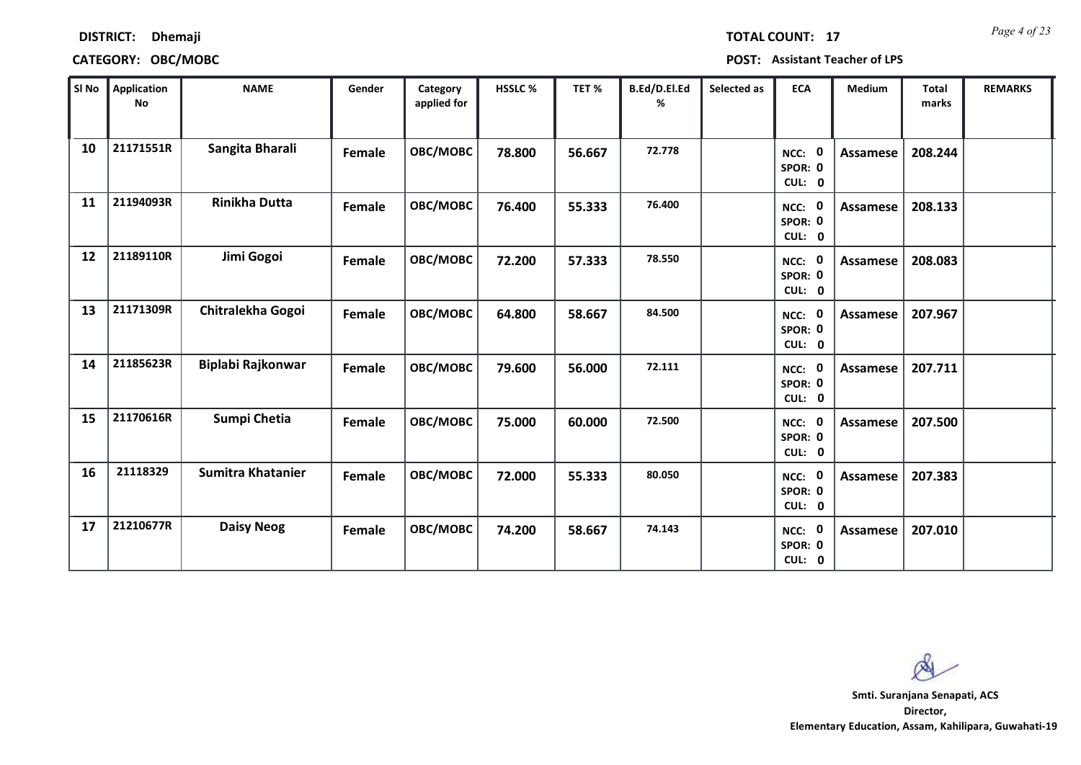### **CATEGORY: OBC/MOBC POST: Assistant Teacher of LPS**

**DISTRICT: Dhemaji**

*Page 4 of 23* **TOTAL COUNT: 17**

| SI No | <b>Application</b><br><b>No</b> | <b>NAME</b>              | Gender | Category<br>applied for | HSSLC % | TET%   | B.Ed/D.El.Ed<br>% | Selected as | <b>ECA</b>                         | <b>Medium</b>   | <b>Total</b><br>marks | <b>REMARKS</b> |
|-------|---------------------------------|--------------------------|--------|-------------------------|---------|--------|-------------------|-------------|------------------------------------|-----------------|-----------------------|----------------|
| 10    | 21171551R                       | Sangita Bharali          | Female | OBC/MOBC                | 78.800  | 56.667 | 72.778            |             | NCC: 0<br>SPOR: 0<br>CUL: 0        | <b>Assamese</b> | 208.244               |                |
| 11    | 21194093R                       | <b>Rinikha Dutta</b>     | Female | OBC/MOBC                | 76.400  | 55.333 | 76.400            |             | NCC: 0<br>SPOR: 0<br>CUL: 0        | <b>Assamese</b> | 208.133               |                |
| 12    | 21189110R                       | Jimi Gogoi               | Female | OBC/MOBC                | 72.200  | 57.333 | 78.550            |             | NCC: 0<br>SPOR: 0<br>CUL: 0        | Assamese        | 208.083               |                |
| 13    | 21171309R                       | Chitralekha Gogoi        | Female | OBC/MOBC                | 64.800  | 58.667 | 84.500            |             | <b>NCC: 0</b><br>SPOR: 0<br>CUL: 0 | <b>Assamese</b> | 207.967               |                |
| 14    | 21185623R                       | Biplabi Rajkonwar        | Female | OBC/MOBC                | 79.600  | 56.000 | 72.111            |             | NCC: 0<br>SPOR: 0<br>CUL: 0        | Assamese        | 207.711               |                |
| 15    | 21170616R                       | Sumpi Chetia             | Female | OBC/MOBC                | 75.000  | 60.000 | 72.500            |             | NCC: 0<br>SPOR: 0<br>CUL: 0        | <b>Assamese</b> | 207.500               |                |
| 16    | 21118329                        | <b>Sumitra Khatanier</b> | Female | OBC/MOBC                | 72.000  | 55.333 | 80.050            |             | NCC: 0<br>SPOR: 0<br>CUL: 0        | <b>Assamese</b> | 207.383               |                |
| 17    | 21210677R                       | <b>Daisy Neog</b>        | Female | OBC/MOBC                | 74.200  | 58.667 | 74.143            |             | NCC: 0<br>SPOR: 0<br>CUL: 0        | Assamese        | 207.010               |                |

 $\infty$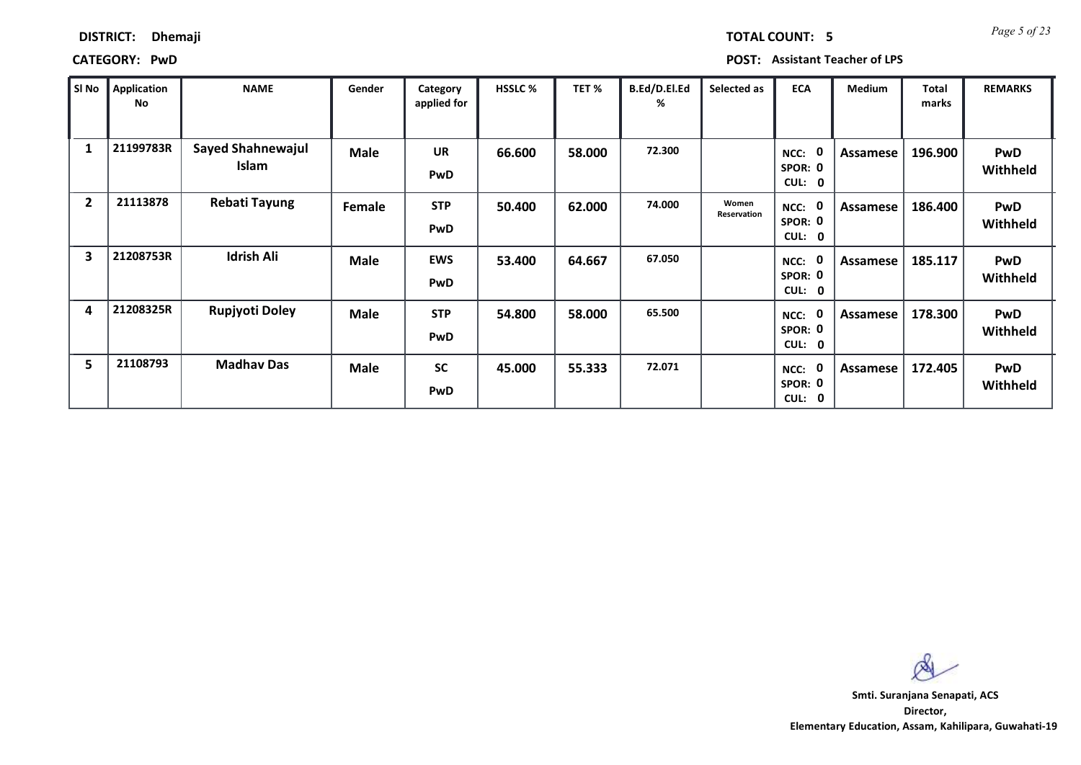| <b>Dhemaji</b> |  |
|----------------|--|
|                |  |

**DISTRICT:** 

*Page 5 of 23* **TOTAL COUNT: 5**

| SI No                   | Application<br>No | <b>NAME</b>                       | Gender      | Category<br>applied for | <b>HSSLC %</b> | TET %  | B.Ed/D.El.Ed<br>% | Selected as          | <b>ECA</b>                   | <b>Medium</b> | <b>Total</b><br>marks | <b>REMARKS</b>                |
|-------------------------|-------------------|-----------------------------------|-------------|-------------------------|----------------|--------|-------------------|----------------------|------------------------------|---------------|-----------------------|-------------------------------|
| 1                       | 21199783R         | <b>Sayed Shahnewajul</b><br>Islam | <b>Male</b> | <b>UR</b><br>PwD        | 66.600         | 58.000 | 72.300            |                      | NCC:<br>SPOR: 0<br>CUL: 0    | Assamese      | 196.900               | <b>PwD</b><br><b>Withheld</b> |
| $\overline{2}$          | 21113878          | <b>Rebati Tayung</b>              | Female      | <b>STP</b><br>PwD       | 50.400         | 62.000 | 74.000            | Women<br>Reservation | $NCC$ :<br>SPOR: 0<br>CUL: 0 | Assamese      | 186.400               | <b>PwD</b><br>Withheld        |
| $\overline{\mathbf{3}}$ | 21208753R         | <b>Idrish Ali</b>                 | <b>Male</b> | <b>EWS</b><br>PwD       | 53.400         | 64.667 | 67.050            |                      | NCC:<br>SPOR: 0<br>CUL: 0    | Assamese      | 185.117               | <b>PwD</b><br>Withheld        |
| 4                       | 21208325R         | Rupjyoti Doley                    | <b>Male</b> | <b>STP</b><br>PwD       | 54.800         | 58.000 | 65.500            |                      | NCC:<br>SPOR: 0<br>CUL: 0    | Assamese      | 178.300               | <b>PwD</b><br>Withheld        |
| 5                       | 21108793          | <b>Madhav Das</b>                 | <b>Male</b> | <b>SC</b><br>PwD        | 45.000         | 55.333 | 72.071            |                      | NCC:<br>SPOR: 0<br>CUL: 0    | Assamese      | 172.405               | <b>PwD</b><br>Withheld        |

 $\infty$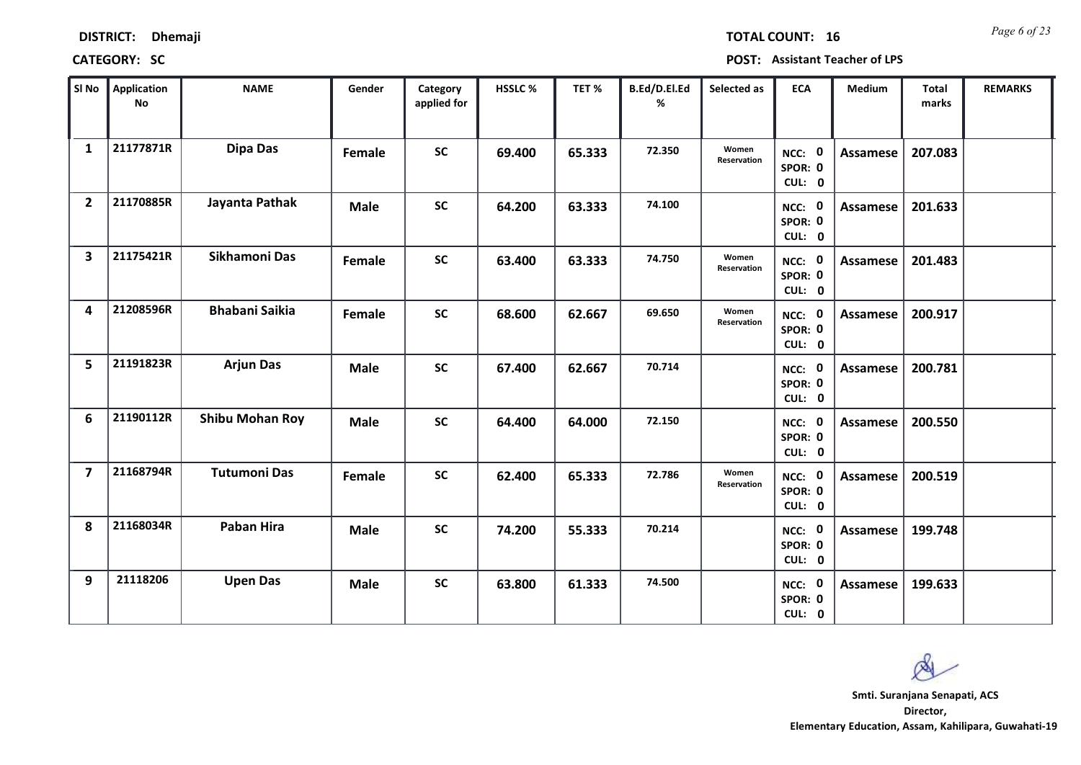| <b>DISTRICT:</b> | Dhemaji |
|------------------|---------|
|------------------|---------|

*Page 6 of 23* **TOTAL COUNT: 16**

| SI No                   | <b>Application</b><br>No | <b>NAME</b>            | Gender      | Category<br>applied for | <b>HSSLC %</b> | TET %  | B.Ed/D.El.Ed<br>% | Selected as          | <b>ECA</b>                  | <b>Medium</b>   | <b>Total</b><br>marks | <b>REMARKS</b> |
|-------------------------|--------------------------|------------------------|-------------|-------------------------|----------------|--------|-------------------|----------------------|-----------------------------|-----------------|-----------------------|----------------|
| $\mathbf{1}$            | 21177871R                | <b>Dipa Das</b>        | Female      | <b>SC</b>               | 69.400         | 65.333 | 72.350            | Women<br>Reservation | NCC: 0<br>SPOR: 0<br>CUL: 0 | Assamese        | 207.083               |                |
| $\overline{2}$          | 21170885R                | Jayanta Pathak         | <b>Male</b> | <b>SC</b>               | 64.200         | 63.333 | 74.100            |                      | NCC: 0<br>SPOR: 0<br>CUL: 0 | <b>Assamese</b> | 201.633               |                |
| $\overline{\mathbf{3}}$ | 21175421R                | Sikhamoni Das          | Female      | <b>SC</b>               | 63.400         | 63.333 | 74.750            | Women<br>Reservation | NCC: 0<br>SPOR: 0<br>CUL: 0 | <b>Assamese</b> | 201.483               |                |
| 4                       | 21208596R                | <b>Bhabani Saikia</b>  | Female      | <b>SC</b>               | 68.600         | 62.667 | 69.650            | Women<br>Reservation | NCC: 0<br>SPOR: 0<br>CUL: 0 | Assamese        | 200.917               |                |
| 5                       | 21191823R                | <b>Arjun Das</b>       | <b>Male</b> | <b>SC</b>               | 67.400         | 62.667 | 70.714            |                      | NCC: 0<br>SPOR: 0<br>CUL: 0 | Assamese        | 200.781               |                |
| 6                       | 21190112R                | <b>Shibu Mohan Roy</b> | <b>Male</b> | <b>SC</b>               | 64.400         | 64.000 | 72.150            |                      | NCC: 0<br>SPOR: 0<br>CUL: 0 | Assamese        | 200.550               |                |
| $\overline{\mathbf{z}}$ | 21168794R                | <b>Tutumoni Das</b>    | Female      | <b>SC</b>               | 62.400         | 65.333 | 72.786            | Women<br>Reservation | NCC: 0<br>SPOR: 0<br>CUL: 0 | Assamese        | 200.519               |                |
| 8                       | 21168034R                | Paban Hira             | <b>Male</b> | <b>SC</b>               | 74.200         | 55.333 | 70.214            |                      | NCC: 0<br>SPOR: 0<br>CUL: 0 | <b>Assamese</b> | 199.748               |                |
| 9                       | 21118206                 | <b>Upen Das</b>        | <b>Male</b> | <b>SC</b>               | 63.800         | 61.333 | 74.500            |                      | NCC: 0<br>SPOR: 0<br>CUL: 0 | Assamese        | 199.633               |                |

 $\infty$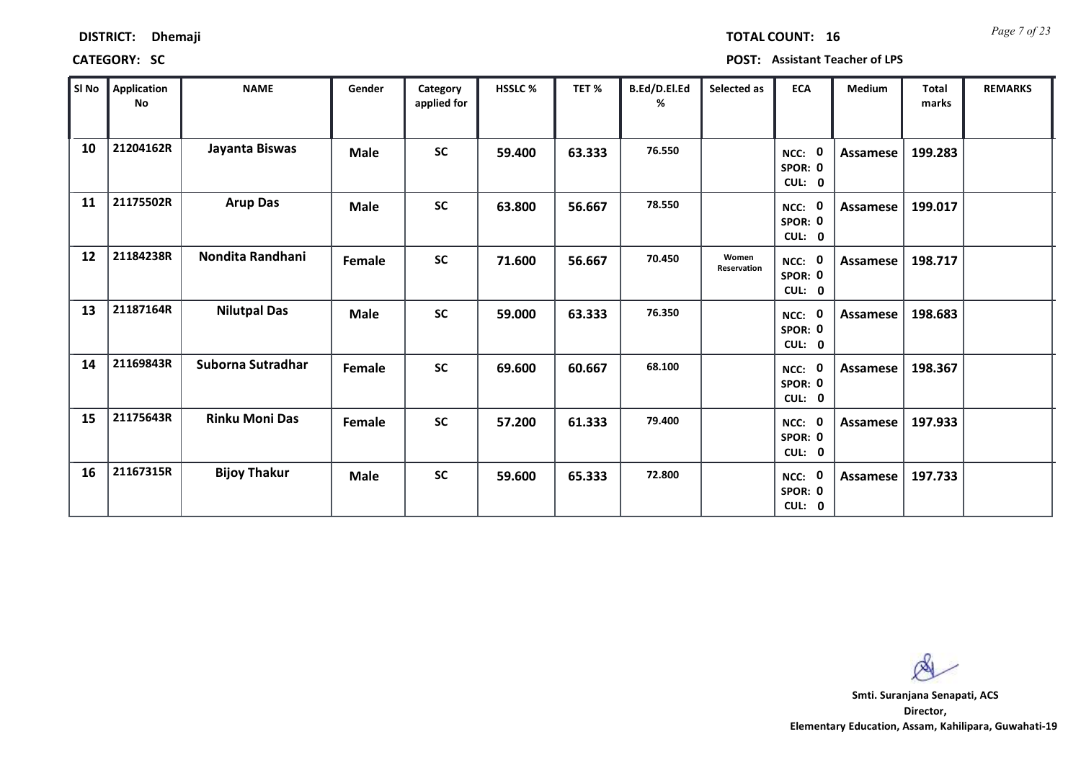| <b>DISTRICT:</b> | Dhemaji |
|------------------|---------|
|------------------|---------|

*Page 7 of 23* **TOTAL COUNT: 16**

**CATEGORY: SC POST: Assistant Teacher of LPS**

| SI No | Application<br>No | <b>NAME</b>           | Gender      | Category<br>applied for | HSSLC% | TET %  | B.Ed/D.El.Ed<br>% | Selected as          | <b>ECA</b>                       | Medium          | <b>Total</b><br>marks | <b>REMARKS</b> |
|-------|-------------------|-----------------------|-------------|-------------------------|--------|--------|-------------------|----------------------|----------------------------------|-----------------|-----------------------|----------------|
| 10    | 21204162R         | Jayanta Biswas        | <b>Male</b> | <b>SC</b>               | 59.400 | 63.333 | 76.550            |                      | - 0<br>NCC:<br>SPOR: 0<br>CUL: 0 | Assamese        | 199.283               |                |
| 11    | 21175502R         | <b>Arup Das</b>       | <b>Male</b> | <b>SC</b>               | 63.800 | 56.667 | 78.550            |                      | NCC:<br>- 0<br>SPOR: 0<br>CUL: 0 | Assamese        | 199.017               |                |
| 12    | 21184238R         | Nondita Randhani      | Female      | <b>SC</b>               | 71.600 | 56.667 | 70.450            | Women<br>Reservation | NCC: 0<br>SPOR: 0<br>CUL: 0      | Assamese        | 198.717               |                |
| 13    | 21187164R         | <b>Nilutpal Das</b>   | <b>Male</b> | SC                      | 59.000 | 63.333 | 76.350            |                      | - 0<br>NCC:<br>SPOR: 0<br>CUL: 0 | Assamese        | 198.683               |                |
| 14    | 21169843R         | Suborna Sutradhar     | Female      | <b>SC</b>               | 69.600 | 60.667 | 68.100            |                      | 0<br>NCC:<br>SPOR: 0<br>CUL: 0   | <b>Assamese</b> | 198.367               |                |
| 15    | 21175643R         | <b>Rinku Moni Das</b> | Female      | <b>SC</b>               | 57.200 | 61.333 | 79.400            |                      | NCC: 0<br>SPOR: 0<br>CUL: 0      | Assamese        | 197.933               |                |
| 16    | 21167315R         | <b>Bijoy Thakur</b>   | <b>Male</b> | <b>SC</b>               | 59.600 | 65.333 | 72.800            |                      | 0<br>NCC:<br>SPOR: 0<br>CUL: 0   | Assamese        | 197.733               |                |

 $\infty$ 

**Director, Elementary Education, Assam, Kahilipara, Guwahati-19 Smti. Suranjana Senapati, ACS**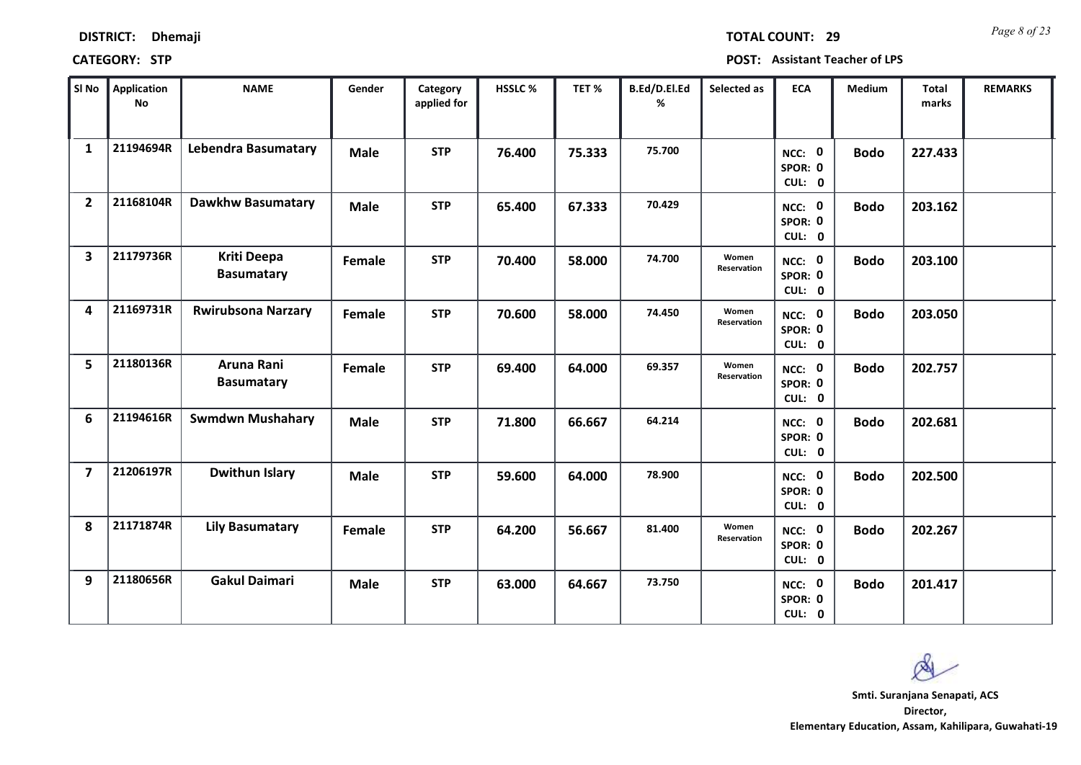| <b>DISTRICT:</b> | <b>Dhemaji</b> |
|------------------|----------------|
|------------------|----------------|

*Page 8 of 23* **TOTAL COUNT: 29**

| SI No                   | Application<br>No | <b>NAME</b>                             | Gender      | Category<br>applied for | HSSLC % | TET%   | B.Ed/D.El.Ed<br>% | Selected as                 | <b>ECA</b>                  | <b>Medium</b> | <b>Total</b><br>marks | <b>REMARKS</b> |
|-------------------------|-------------------|-----------------------------------------|-------------|-------------------------|---------|--------|-------------------|-----------------------------|-----------------------------|---------------|-----------------------|----------------|
| $\mathbf{1}$            | 21194694R         | <b>Lebendra Basumatary</b>              | <b>Male</b> | <b>STP</b>              | 76.400  | 75.333 | 75.700            |                             | NCC: 0<br>SPOR: 0<br>CUL: 0 | <b>Bodo</b>   | 227.433               |                |
| $\overline{2}$          | 21168104R         | <b>Dawkhw Basumatary</b>                | <b>Male</b> | <b>STP</b>              | 65.400  | 67.333 | 70.429            |                             | NCC: 0<br>SPOR: 0<br>CUL: 0 | <b>Bodo</b>   | 203.162               |                |
| $\overline{\mathbf{3}}$ | 21179736R         | <b>Kriti Deepa</b><br><b>Basumatary</b> | Female      | <b>STP</b>              | 70.400  | 58.000 | 74.700            | Women<br>Reservation        | NCC: 0<br>SPOR: 0<br>CUL: 0 | <b>Bodo</b>   | 203.100               |                |
| 4                       | 21169731R         | <b>Rwirubsona Narzary</b>               | Female      | <b>STP</b>              | 70.600  | 58.000 | 74.450            | Women<br><b>Reservation</b> | NCC: 0<br>SPOR: 0<br>CUL: 0 | <b>Bodo</b>   | 203.050               |                |
| 5                       | 21180136R         | Aruna Rani<br><b>Basumatary</b>         | Female      | <b>STP</b>              | 69.400  | 64.000 | 69.357            | Women<br>Reservation        | NCC: 0<br>SPOR: 0<br>CUL: 0 | <b>Bodo</b>   | 202.757               |                |
| 6                       | 21194616R         | <b>Swmdwn Mushahary</b>                 | <b>Male</b> | <b>STP</b>              | 71.800  | 66.667 | 64.214            |                             | NCC: 0<br>SPOR: 0<br>CUL: 0 | <b>Bodo</b>   | 202.681               |                |
| $\overline{7}$          | 21206197R         | Dwithun Islary                          | <b>Male</b> | <b>STP</b>              | 59.600  | 64.000 | 78.900            |                             | NCC: 0<br>SPOR: 0<br>CUL: 0 | <b>Bodo</b>   | 202.500               |                |
| 8                       | 21171874R         | <b>Lily Basumatary</b>                  | Female      | <b>STP</b>              | 64.200  | 56.667 | 81.400            | Women<br>Reservation        | NCC: 0<br>SPOR: 0<br>CUL: 0 | <b>Bodo</b>   | 202.267               |                |
| 9                       | 21180656R         | <b>Gakul Daimari</b>                    | <b>Male</b> | <b>STP</b>              | 63.000  | 64.667 | 73.750            |                             | NCC: 0<br>SPOR: 0<br>CUL: 0 | <b>Bodo</b>   | 201.417               |                |

 $\infty$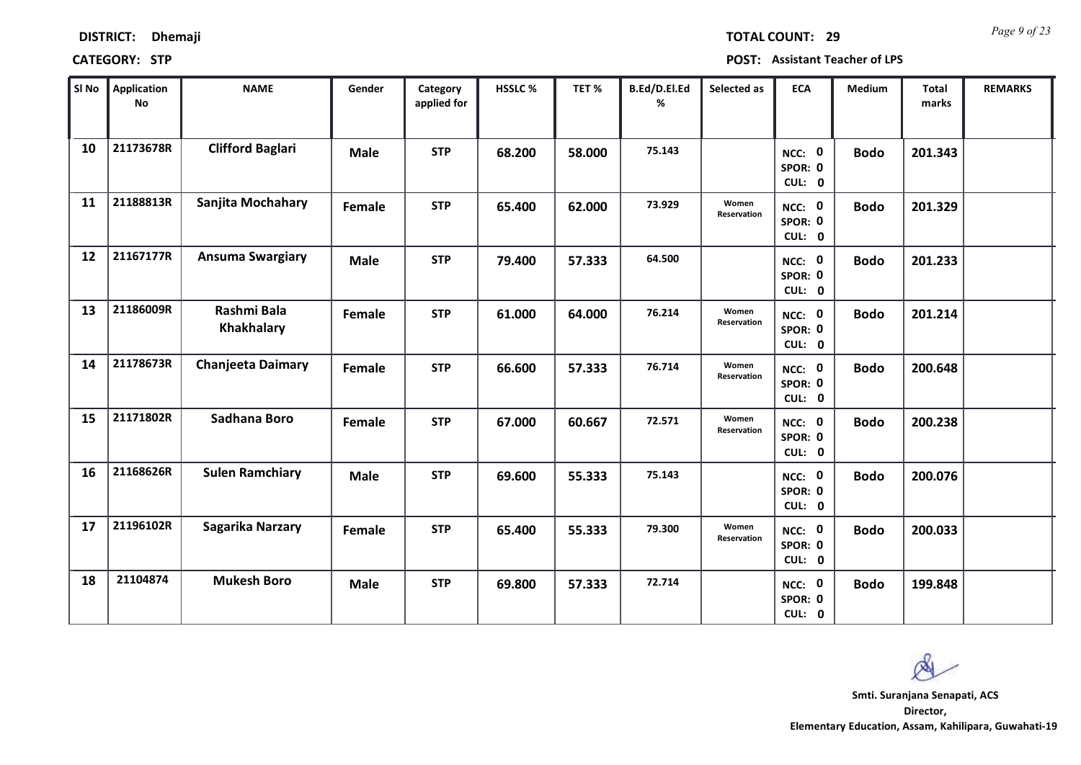|       | <b>DISTRICT:</b><br>Dhemaji<br><b>CATEGORY: STP</b> |                         |             |                         |                |
|-------|-----------------------------------------------------|-------------------------|-------------|-------------------------|----------------|
| SI No | <b>Application</b><br>No                            | <b>NAME</b>             | Gender      | Category<br>applied for | <b>HSSLC %</b> |
| 10    | 21173678R                                           | <b>Clifford Baglari</b> | <b>Male</b> | <b>STP</b>              | 68.200         |

*Page 9 of 23* **TOTAL COUNT: 29**

**POST: Assistant Teacher of LPS** 

| SI No | Application<br><b>No</b> | <b>NAME</b>                      | Gender      | Category<br>applied for | HSSLC% | TET %  | B.Ed/D.El.Ed<br>% | Selected as          | <b>ECA</b>                  | Medium      | Total<br>marks | <b>REMARKS</b> |
|-------|--------------------------|----------------------------------|-------------|-------------------------|--------|--------|-------------------|----------------------|-----------------------------|-------------|----------------|----------------|
| 10    | 21173678R                | <b>Clifford Baglari</b>          | <b>Male</b> | <b>STP</b>              | 68.200 | 58.000 | 75.143            |                      | NCC: 0<br>SPOR: 0<br>CUL: 0 | <b>Bodo</b> | 201.343        |                |
| 11    | 21188813R                | Sanjita Mochahary                | Female      | <b>STP</b>              | 65.400 | 62.000 | 73.929            | Women<br>Reservation | NCC: 0<br>SPOR: 0<br>CUL: 0 | <b>Bodo</b> | 201.329        |                |
| 12    | 21167177R                | <b>Ansuma Swargiary</b>          | <b>Male</b> | <b>STP</b>              | 79.400 | 57.333 | 64.500            |                      | NCC: 0<br>SPOR: 0<br>CUL: 0 | <b>Bodo</b> | 201.233        |                |
| 13    | 21186009R                | Rashmi Bala<br><b>Khakhalary</b> | Female      | <b>STP</b>              | 61.000 | 64.000 | 76.214            | Women<br>Reservation | NCC: 0<br>SPOR: 0<br>CUL: 0 | <b>Bodo</b> | 201.214        |                |
| 14    | 21178673R                | <b>Chanjeeta Daimary</b>         | Female      | <b>STP</b>              | 66.600 | 57.333 | 76.714            | Women<br>Reservation | NCC: 0<br>SPOR: 0<br>CUL: 0 | <b>Bodo</b> | 200.648        |                |
| 15    | 21171802R                | Sadhana Boro                     | Female      | <b>STP</b>              | 67.000 | 60.667 | 72.571            | Women<br>Reservation | NCC: 0<br>SPOR: 0<br>CUL: 0 | <b>Bodo</b> | 200.238        |                |
| 16    | 21168626R                | <b>Sulen Ramchiary</b>           | <b>Male</b> | <b>STP</b>              | 69.600 | 55.333 | 75.143            |                      | NCC: 0<br>SPOR: 0<br>CUL: 0 | <b>Bodo</b> | 200.076        |                |
| 17    | 21196102R                | <b>Sagarika Narzary</b>          | Female      | <b>STP</b>              | 65.400 | 55.333 | 79.300            | Women<br>Reservation | NCC: 0<br>SPOR: 0<br>CUL: 0 | <b>Bodo</b> | 200.033        |                |
| 18    | 21104874                 | <b>Mukesh Boro</b>               | <b>Male</b> | <b>STP</b>              | 69.800 | 57.333 | 72.714            |                      | NCC: 0<br>SPOR: 0<br>CUL: 0 | <b>Bodo</b> | 199.848        |                |

Ø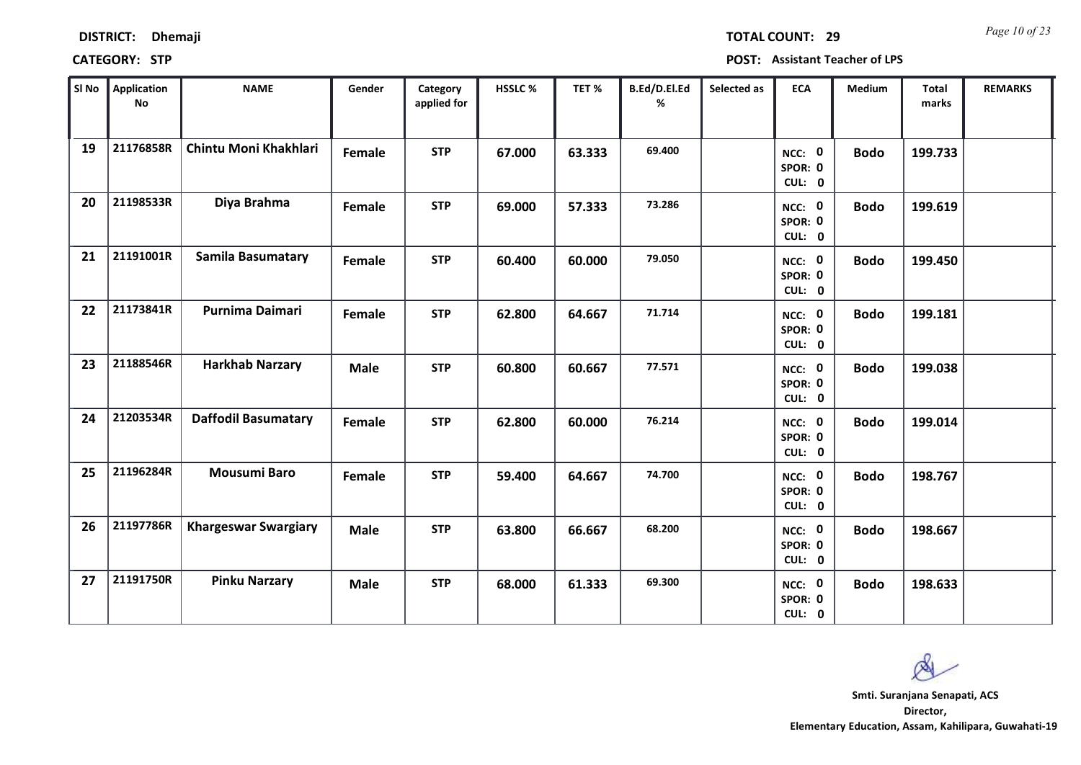| <b>DISTRICT:</b> | <b>Dhemaji</b> |
|------------------|----------------|
|------------------|----------------|

*Page 10 of 23* **TOTAL COUNT: 29**

| SI No | <b>Application</b><br>$\mathsf{No}$ | <b>NAME</b>                 | Gender        | Category<br>applied for | HSSLC % | TET%   | B.Ed/D.El.Ed<br>% | Selected as | <b>ECA</b>                  | Medium      | Total<br>marks | <b>REMARKS</b> |
|-------|-------------------------------------|-----------------------------|---------------|-------------------------|---------|--------|-------------------|-------------|-----------------------------|-------------|----------------|----------------|
| 19    | 21176858R                           | Chintu Moni Khakhlari       | Female        | <b>STP</b>              | 67.000  | 63.333 | 69.400            |             | NCC: 0<br>SPOR: 0<br>CUL: 0 | <b>Bodo</b> | 199.733        |                |
| 20    | 21198533R                           | Diya Brahma                 | <b>Female</b> | <b>STP</b>              | 69.000  | 57.333 | 73.286            |             | NCC: 0<br>SPOR: 0<br>CUL: 0 | <b>Bodo</b> | 199.619        |                |
| 21    | 21191001R                           | <b>Samila Basumatary</b>    | <b>Female</b> | <b>STP</b>              | 60.400  | 60.000 | 79.050            |             | NCC: 0<br>SPOR: 0<br>CUL: 0 | <b>Bodo</b> | 199.450        |                |
| 22    | 21173841R                           | <b>Purnima Daimari</b>      | Female        | <b>STP</b>              | 62.800  | 64.667 | 71.714            |             | NCC: 0<br>SPOR: 0<br>CUL: 0 | <b>Bodo</b> | 199.181        |                |
| 23    | 21188546R                           | <b>Harkhab Narzary</b>      | <b>Male</b>   | <b>STP</b>              | 60.800  | 60.667 | 77.571            |             | NCC: 0<br>SPOR: 0<br>CUL: 0 | <b>Bodo</b> | 199.038        |                |
| 24    | 21203534R                           | <b>Daffodil Basumatary</b>  | Female        | <b>STP</b>              | 62.800  | 60.000 | 76.214            |             | NCC: 0<br>SPOR: 0<br>CUL: 0 | <b>Bodo</b> | 199.014        |                |
| 25    | 21196284R                           | <b>Mousumi Baro</b>         | Female        | <b>STP</b>              | 59.400  | 64.667 | 74.700            |             | NCC: 0<br>SPOR: 0<br>CUL: 0 | <b>Bodo</b> | 198.767        |                |
| 26    | 21197786R                           | <b>Khargeswar Swargiary</b> | <b>Male</b>   | <b>STP</b>              | 63.800  | 66.667 | 68.200            |             | NCC: 0<br>SPOR: 0<br>CUL: 0 | <b>Bodo</b> | 198.667        |                |
| 27    | 21191750R                           | <b>Pinku Narzary</b>        | <b>Male</b>   | <b>STP</b>              | 68.000  | 61.333 | 69.300            |             | NCC: 0<br>SPOR: 0<br>CUL: 0 | <b>Bodo</b> | 198.633        |                |

Ø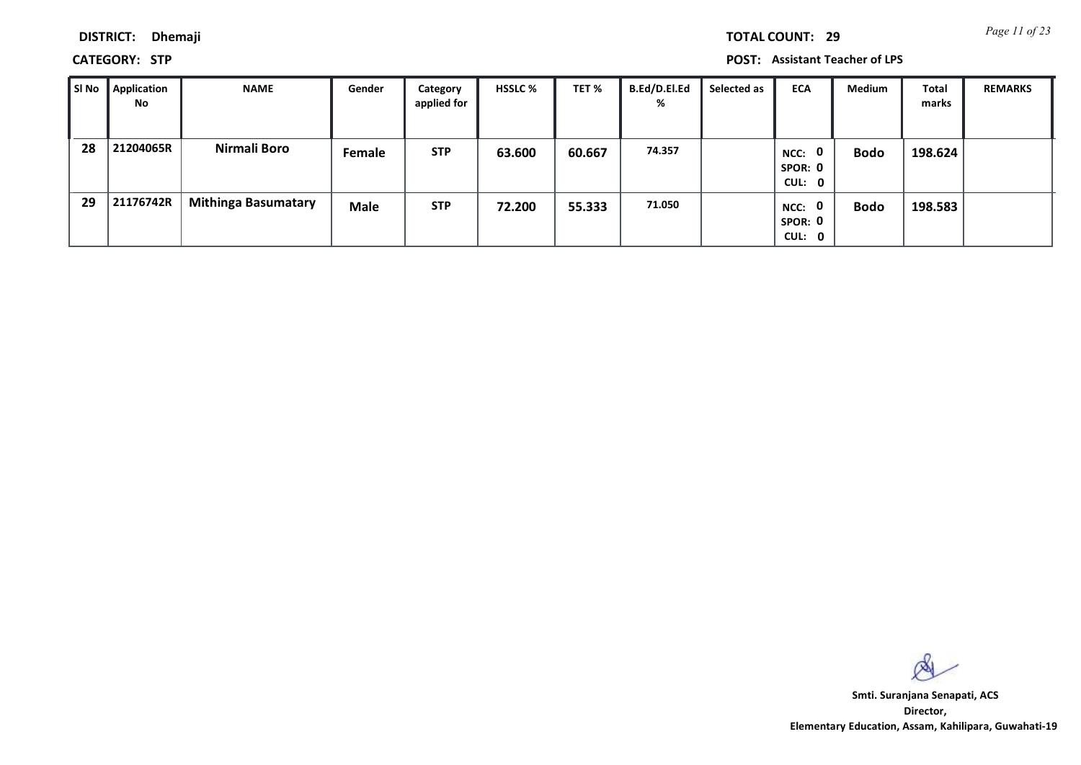*Page 11 of 23* **TOTAL COUNT: 29**

**DISTRICT: Dhemaji**

**CATEGORY: STP POST: Assistant Teacher of LPS**

| l SI No | Application<br>No | <b>NAME</b>                | Gender      | Category<br>applied for | <b>HSSLC %</b> | TET %  | <b>B.Ed/D.El.Ed</b><br>% | Selected as | <b>ECA</b>                                | Medium      | Total<br>marks | <b>REMARKS</b> |
|---------|-------------------|----------------------------|-------------|-------------------------|----------------|--------|--------------------------|-------------|-------------------------------------------|-------------|----------------|----------------|
| 28      | 21204065R         | Nirmali Boro               | Female      | <b>STP</b>              | 63.600         | 60.667 | 74.357                   |             | $\mathbf{0}$<br>NCC:<br>SPOR: 0<br>CUL: 0 | <b>Bodo</b> | 198.624        |                |
| 29      | 21176742R         | <b>Mithinga Basumatary</b> | <b>Male</b> | <b>STP</b>              | 72.200         | 55.333 | 71.050                   |             | NCC: 0<br>SPOR: 0<br>CUL: 0               | <b>Bodo</b> | 198.583        |                |

 $\infty$ 

**Director, Elementary Education, Assam, Kahilipara, Guwahati-19 Smti. Suranjana Senapati, ACS**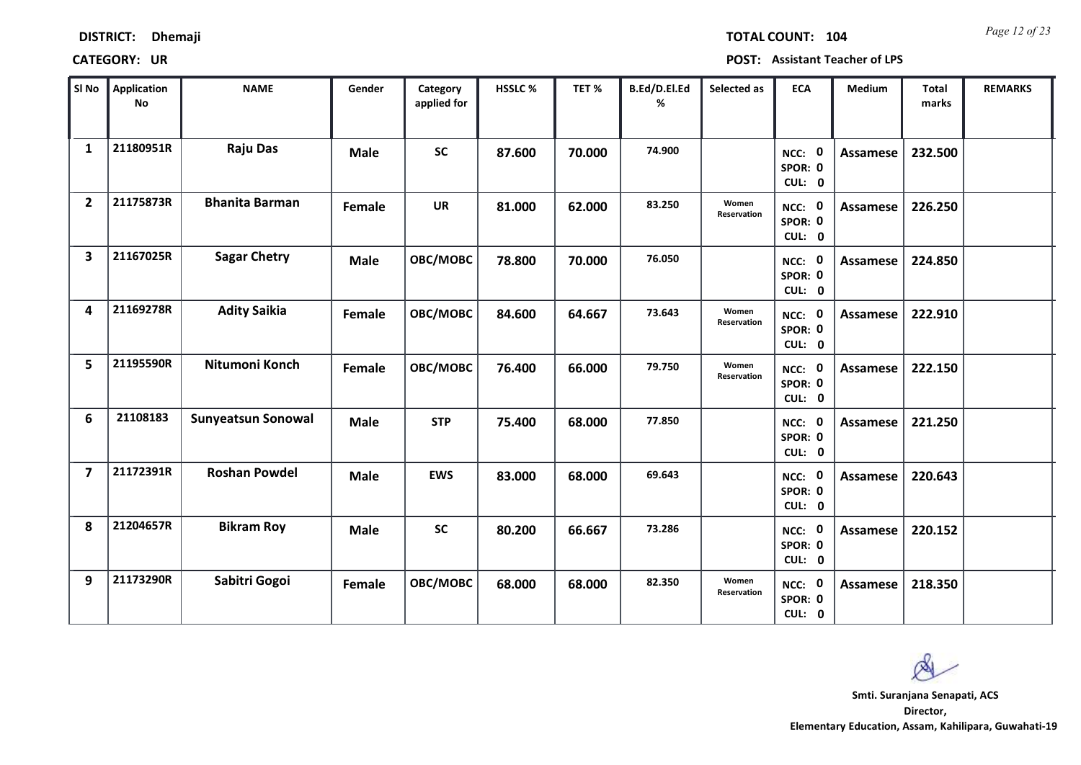| <b>DISTRICT:</b> | <b>Dhemaji</b> |
|------------------|----------------|
|                  |                |

*Page 12 of 23* **TOTAL COUNT: 104**

| SI No                   | <b>Application</b><br>No | <b>NAME</b>               | Gender      | Category<br>applied for | <b>HSSLC %</b> | TET%   | B.Ed/D.El.Ed<br>% | Selected as                 | <b>ECA</b>                  | <b>Medium</b>   | <b>Total</b><br>marks | <b>REMARKS</b> |
|-------------------------|--------------------------|---------------------------|-------------|-------------------------|----------------|--------|-------------------|-----------------------------|-----------------------------|-----------------|-----------------------|----------------|
| $\mathbf{1}$            | 21180951R                | <b>Raju Das</b>           | <b>Male</b> | <b>SC</b>               | 87.600         | 70.000 | 74.900            |                             | NCC: 0<br>SPOR: 0<br>CUL: 0 | <b>Assamese</b> | 232.500               |                |
| $\overline{2}$          | 21175873R                | <b>Bhanita Barman</b>     | Female      | <b>UR</b>               | 81.000         | 62.000 | 83.250            | Women<br><b>Reservation</b> | NCC: 0<br>SPOR: 0<br>CUL: 0 | Assamese        | 226.250               |                |
| $\overline{\mathbf{3}}$ | 21167025R                | <b>Sagar Chetry</b>       | <b>Male</b> | OBC/MOBC                | 78.800         | 70.000 | 76.050            |                             | NCC: 0<br>SPOR: 0<br>CUL: 0 | Assamese        | 224.850               |                |
| 4                       | 21169278R                | <b>Adity Saikia</b>       | Female      | OBC/MOBC                | 84.600         | 64.667 | 73.643            | Women<br>Reservation        | NCC: 0<br>SPOR: 0<br>CUL: 0 | <b>Assamese</b> | 222.910               |                |
| 5                       | 21195590R                | Nitumoni Konch            | Female      | OBC/MOBC                | 76.400         | 66.000 | 79.750            | Women<br>Reservation        | NCC: 0<br>SPOR: 0<br>CUL: 0 | <b>Assamese</b> | 222.150               |                |
| 6                       | 21108183                 | <b>Sunyeatsun Sonowal</b> | <b>Male</b> | <b>STP</b>              | 75.400         | 68.000 | 77.850            |                             | NCC: 0<br>SPOR: 0<br>CUL: 0 | <b>Assamese</b> | 221.250               |                |
| $\overline{7}$          | 21172391R                | <b>Roshan Powdel</b>      | <b>Male</b> | <b>EWS</b>              | 83.000         | 68.000 | 69.643            |                             | NCC: 0<br>SPOR: 0<br>CUL: 0 | Assamese        | 220.643               |                |
| 8                       | 21204657R                | <b>Bikram Roy</b>         | <b>Male</b> | <b>SC</b>               | 80.200         | 66.667 | 73.286            |                             | NCC: 0<br>SPOR: 0<br>CUL: 0 | <b>Assamese</b> | 220.152               |                |
| 9                       | 21173290R                | Sabitri Gogoi             | Female      | OBC/MOBC                | 68.000         | 68.000 | 82.350            | Women<br>Reservation        | NCC: 0<br>SPOR: 0<br>CUL: 0 | Assamese        | 218.350               |                |

 $\infty$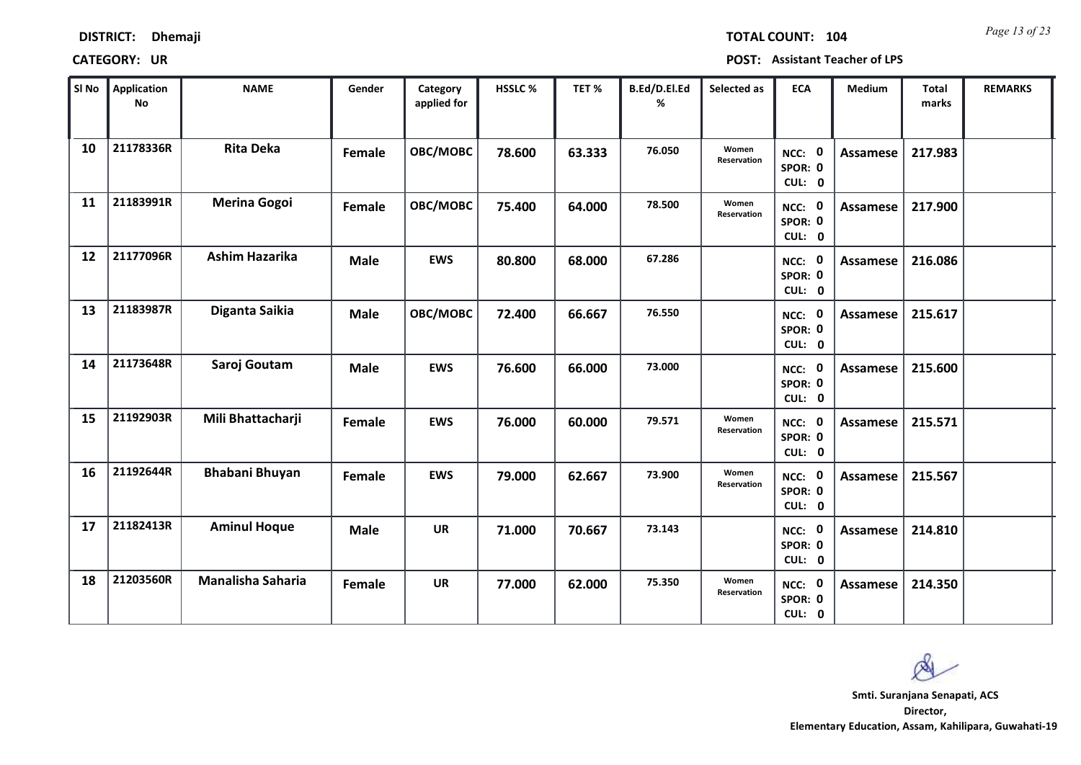| <b>DISTRICT:</b> | <b>Dhemaji</b> |
|------------------|----------------|
|------------------|----------------|

*Page 13 of 23* **TOTAL COUNT: 104**

| SI No | <b>Application</b><br>No | <b>NAME</b>              | Gender      | Category<br>applied for | HSSLC % | TET %  | B.Ed/D.El.Ed<br>% | Selected as                 | <b>ECA</b>                  | <b>Medium</b>   | <b>Total</b><br>marks | <b>REMARKS</b> |
|-------|--------------------------|--------------------------|-------------|-------------------------|---------|--------|-------------------|-----------------------------|-----------------------------|-----------------|-----------------------|----------------|
| 10    | 21178336R                | <b>Rita Deka</b>         | Female      | OBC/MOBC                | 78.600  | 63.333 | 76.050            | Women<br>Reservation        | NCC: 0<br>SPOR: 0<br>CUL: 0 | <b>Assamese</b> | 217.983               |                |
| 11    | 21183991R                | <b>Merina Gogoi</b>      | Female      | OBC/MOBC                | 75.400  | 64.000 | 78.500            | Women<br><b>Reservation</b> | NCC: 0<br>SPOR: 0<br>CUL: 0 | Assamese        | 217.900               |                |
| 12    | 21177096R                | <b>Ashim Hazarika</b>    | <b>Male</b> | <b>EWS</b>              | 80.800  | 68.000 | 67.286            |                             | NCC: 0<br>SPOR: 0<br>CUL: 0 | Assamese        | 216.086               |                |
| 13    | 21183987R                | Diganta Saikia           | <b>Male</b> | OBC/MOBC                | 72.400  | 66.667 | 76.550            |                             | NCC: 0<br>SPOR: 0<br>CUL: 0 | Assamese        | 215.617               |                |
| 14    | 21173648R                | Saroj Goutam             | <b>Male</b> | <b>EWS</b>              | 76.600  | 66.000 | 73.000            |                             | NCC: 0<br>SPOR: 0<br>CUL: 0 | Assamese        | 215.600               |                |
| 15    | 21192903R                | Mili Bhattacharji        | Female      | <b>EWS</b>              | 76.000  | 60.000 | 79.571            | Women<br>Reservation        | NCC: 0<br>SPOR: 0<br>CUL: 0 | Assamese        | 215.571               |                |
| 16    | 21192644R                | <b>Bhabani Bhuyan</b>    | Female      | <b>EWS</b>              | 79.000  | 62.667 | 73.900            | Women<br>Reservation        | NCC: 0<br>SPOR: 0<br>CUL: 0 | <b>Assamese</b> | 215.567               |                |
| 17    | 21182413R                | <b>Aminul Hoque</b>      | <b>Male</b> | <b>UR</b>               | 71.000  | 70.667 | 73.143            |                             | NCC: 0<br>SPOR: 0<br>CUL: 0 | <b>Assamese</b> | 214.810               |                |
| 18    | 21203560R                | <b>Manalisha Saharia</b> | Female      | <b>UR</b>               | 77.000  | 62.000 | 75.350            | Women<br>Reservation        | NCC: 0<br>SPOR: 0<br>CUL: 0 | Assamese        | 214.350               |                |

 $\infty$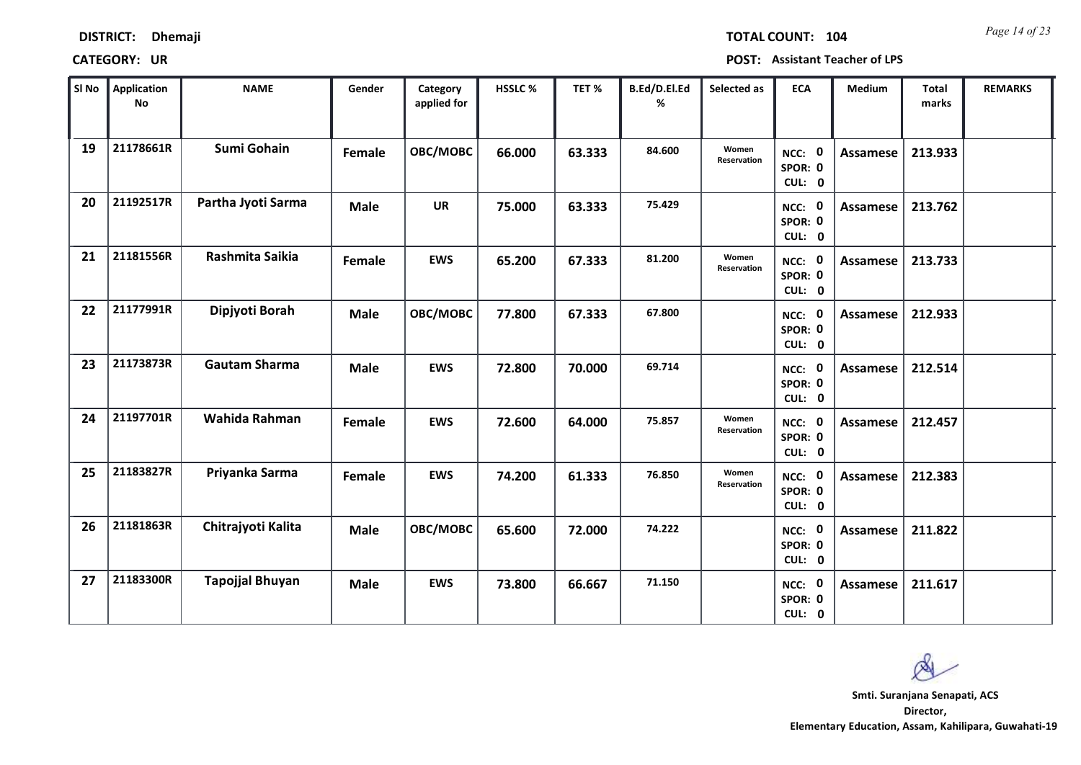| <b>DISTRICT:</b><br><b>Dhemaji</b> |
|------------------------------------|
|------------------------------------|

*Page 14 of 23* **TOTAL COUNT: 104**

| SI No | Application<br>No | <b>NAME</b>            | Gender      | Category<br>applied for | HSSLC % | TET%   | B.Ed/D.El.Ed<br>% | Selected as          | <b>ECA</b>                  | <b>Medium</b>   | <b>Total</b><br>marks | <b>REMARKS</b> |
|-------|-------------------|------------------------|-------------|-------------------------|---------|--------|-------------------|----------------------|-----------------------------|-----------------|-----------------------|----------------|
| 19    | 21178661R         | <b>Sumi Gohain</b>     | Female      | OBC/MOBC                | 66.000  | 63.333 | 84.600            | Women<br>Reservation | NCC: 0<br>SPOR: 0<br>CUL: 0 | Assamese        | 213.933               |                |
| 20    | 21192517R         | Partha Jyoti Sarma     | <b>Male</b> | <b>UR</b>               | 75.000  | 63.333 | 75.429            |                      | NCC: 0<br>SPOR: 0<br>CUL: 0 | Assamese        | 213.762               |                |
| 21    | 21181556R         | Rashmita Saikia        | Female      | <b>EWS</b>              | 65.200  | 67.333 | 81.200            | Women<br>Reservation | NCC: 0<br>SPOR: 0<br>CUL: 0 | Assamese        | 213.733               |                |
| 22    | 21177991R         | Dipjyoti Borah         | <b>Male</b> | OBC/MOBC                | 77.800  | 67.333 | 67.800            |                      | NCC: 0<br>SPOR: 0<br>CUL: 0 | Assamese        | 212.933               |                |
| 23    | 21173873R         | <b>Gautam Sharma</b>   | <b>Male</b> | <b>EWS</b>              | 72.800  | 70.000 | 69.714            |                      | NCC: 0<br>SPOR: 0<br>CUL: 0 | Assamese        | 212.514               |                |
| 24    | 21197701R         | Wahida Rahman          | Female      | <b>EWS</b>              | 72.600  | 64.000 | 75.857            | Women<br>Reservation | NCC: 0<br>SPOR: 0<br>CUL: 0 | Assamese        | 212.457               |                |
| 25    | 21183827R         | Priyanka Sarma         | Female      | <b>EWS</b>              | 74.200  | 61.333 | 76.850            | Women<br>Reservation | NCC: 0<br>SPOR: 0<br>CUL: 0 | Assamese        | 212.383               |                |
| 26    | 21181863R         | Chitrajyoti Kalita     | <b>Male</b> | OBC/MOBC                | 65.600  | 72.000 | 74.222            |                      | NCC: 0<br>SPOR: 0<br>CUL: 0 | <b>Assamese</b> | 211.822               |                |
| 27    | 21183300R         | <b>Tapojjal Bhuyan</b> | <b>Male</b> | <b>EWS</b>              | 73.800  | 66.667 | 71.150            |                      | NCC: 0<br>SPOR: 0<br>CUL: 0 | Assamese        | 211.617               |                |

 $\infty$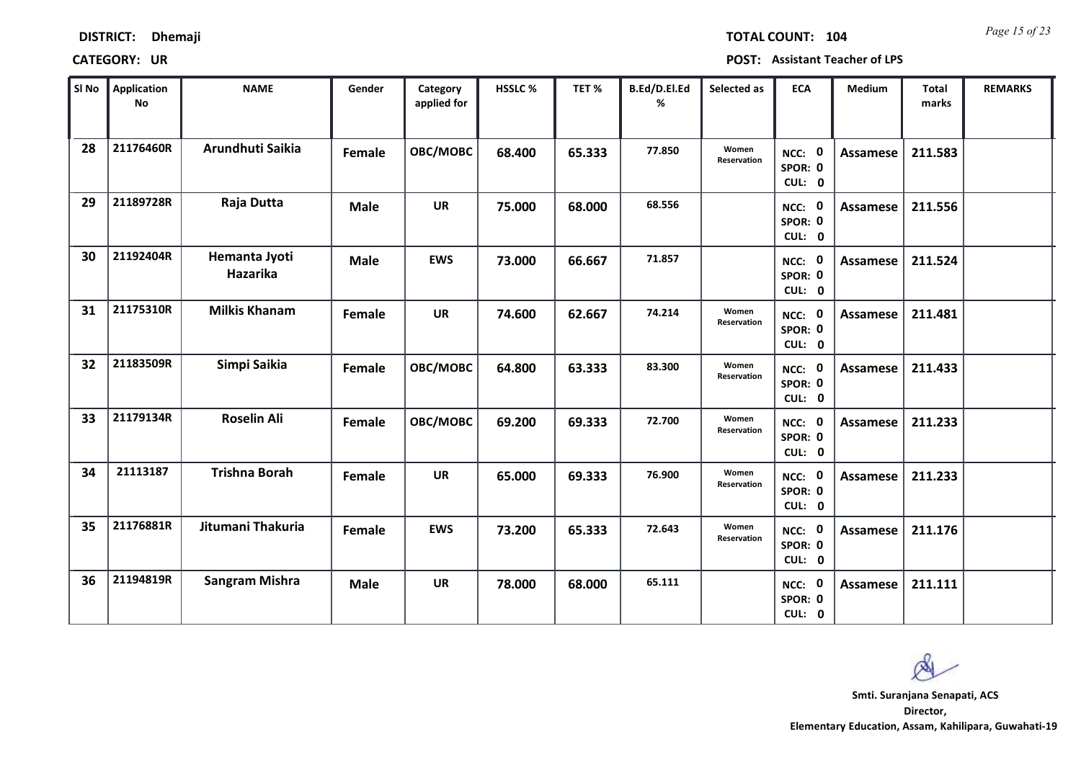| <b>DISTRICT:</b> | <b>Dhemaji</b> |
|------------------|----------------|
|                  |                |

*Page 15 of 23* **TOTAL COUNT: 104**

| SI No | <b>Application</b><br>No | <b>NAME</b>               | Gender      | Category<br>applied for | HSSLC % | TET%   | B.Ed/D.El.Ed<br>% | Selected as          | <b>ECA</b>                  | Medium          | <b>Total</b><br>marks | <b>REMARKS</b> |
|-------|--------------------------|---------------------------|-------------|-------------------------|---------|--------|-------------------|----------------------|-----------------------------|-----------------|-----------------------|----------------|
| 28    | 21176460R                | Arundhuti Saikia          | Female      | OBC/MOBC                | 68.400  | 65.333 | 77.850            | Women<br>Reservation | NCC: 0<br>SPOR: 0<br>CUL: 0 | <b>Assamese</b> | 211.583               |                |
| 29    | 21189728R                | Raja Dutta                | <b>Male</b> | <b>UR</b>               | 75.000  | 68.000 | 68.556            |                      | NCC: 0<br>SPOR: 0<br>CUL: 0 | Assamese        | 211.556               |                |
| 30    | 21192404R                | Hemanta Jyoti<br>Hazarika | <b>Male</b> | <b>EWS</b>              | 73.000  | 66.667 | 71.857            |                      | NCC: 0<br>SPOR: 0<br>CUL: 0 | Assamese        | 211.524               |                |
| 31    | 21175310R                | <b>Milkis Khanam</b>      | Female      | <b>UR</b>               | 74.600  | 62.667 | 74.214            | Women<br>Reservation | NCC: 0<br>SPOR: 0<br>CUL: 0 | Assamese        | 211.481               |                |
| 32    | 21183509R                | Simpi Saikia              | Female      | OBC/MOBC                | 64.800  | 63.333 | 83.300            | Women<br>Reservation | NCC: 0<br>SPOR: 0<br>CUL: 0 | Assamese        | 211.433               |                |
| 33    | 21179134R                | <b>Roselin Ali</b>        | Female      | OBC/MOBC                | 69.200  | 69.333 | 72.700            | Women<br>Reservation | NCC: 0<br>SPOR: 0<br>CUL: 0 | Assamese        | 211.233               |                |
| 34    | 21113187                 | <b>Trishna Borah</b>      | Female      | <b>UR</b>               | 65.000  | 69.333 | 76.900            | Women<br>Reservation | NCC: 0<br>SPOR: 0<br>CUL: 0 | Assamese        | 211.233               |                |
| 35    | 21176881R                | Jitumani Thakuria         | Female      | <b>EWS</b>              | 73.200  | 65.333 | 72.643            | Women<br>Reservation | NCC: 0<br>SPOR: 0<br>CUL: 0 | <b>Assamese</b> | 211.176               |                |
| 36    | 21194819R                | <b>Sangram Mishra</b>     | <b>Male</b> | <b>UR</b>               | 78.000  | 68.000 | 65.111            |                      | NCC: 0<br>SPOR: 0<br>CUL: 0 | Assamese        | 211.111               |                |

 $\infty$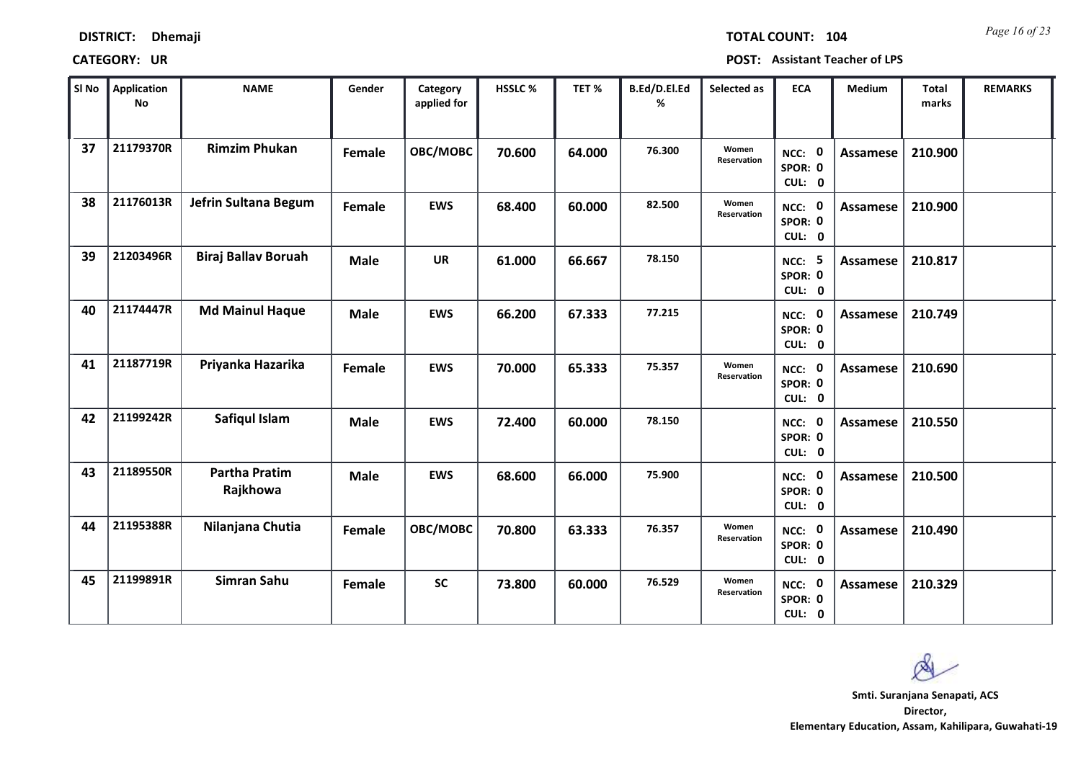| <b>Dhemaji</b> | <b>DISTRICT:</b> |  |
|----------------|------------------|--|
|----------------|------------------|--|

*Page 16 of 23* **TOTAL COUNT: 104**

| SI No | <b>Application</b><br>No | <b>NAME</b>                      | Gender      | Category<br>applied for | <b>HSSLC %</b> | TET%   | B.Ed/D.El.Ed<br>% | Selected as          | <b>ECA</b>                         | <b>Medium</b>   | <b>Total</b><br>marks | <b>REMARKS</b> |
|-------|--------------------------|----------------------------------|-------------|-------------------------|----------------|--------|-------------------|----------------------|------------------------------------|-----------------|-----------------------|----------------|
| 37    | 21179370R                | <b>Rimzim Phukan</b>             | Female      | OBC/MOBC                | 70.600         | 64.000 | 76.300            | Women<br>Reservation | NCC: 0<br>SPOR: 0<br>CUL: 0        | <b>Assamese</b> | 210.900               |                |
| 38    | 21176013R                | Jefrin Sultana Begum             | Female      | <b>EWS</b>              | 68.400         | 60.000 | 82.500            | Women<br>Reservation | NCC: 0<br>SPOR: 0<br>CUL: 0        | Assamese        | 210.900               |                |
| 39    | 21203496R                | <b>Biraj Ballav Boruah</b>       | <b>Male</b> | <b>UR</b>               | 61.000         | 66.667 | 78.150            |                      | <b>NCC: 5</b><br>SPOR: 0<br>CUL: 0 | Assamese        | 210.817               |                |
| 40    | 21174447R                | <b>Md Mainul Haque</b>           | <b>Male</b> | <b>EWS</b>              | 66.200         | 67.333 | 77.215            |                      | NCC: 0<br>SPOR: 0<br>CUL: 0        | Assamese        | 210.749               |                |
| 41    | 21187719R                | Priyanka Hazarika                | Female      | <b>EWS</b>              | 70.000         | 65.333 | 75.357            | Women<br>Reservation | NCC: 0<br>SPOR: 0<br>CUL: 0        | Assamese        | 210.690               |                |
| 42    | 21199242R                | Safiqul Islam                    | <b>Male</b> | <b>EWS</b>              | 72.400         | 60.000 | 78.150            |                      | NCC: 0<br>SPOR: 0<br>CUL: 0        | Assamese        | 210.550               |                |
| 43    | 21189550R                | <b>Partha Pratim</b><br>Rajkhowa | <b>Male</b> | <b>EWS</b>              | 68.600         | 66.000 | 75.900            |                      | NCC: 0<br>SPOR: 0<br>CUL: 0        | Assamese        | 210.500               |                |
| 44    | 21195388R                | Nilanjana Chutia                 | Female      | OBC/MOBC                | 70.800         | 63.333 | 76.357            | Women<br>Reservation | NCC: 0<br>SPOR: 0<br>CUL: 0        | <b>Assamese</b> | 210.490               |                |
| 45    | 21199891R                | Simran Sahu                      | Female      | <b>SC</b>               | 73.800         | 60.000 | 76.529            | Women<br>Reservation | NCC: 0<br>SPOR: 0<br>CUL: 0        | Assamese        | 210.329               |                |

 $\infty$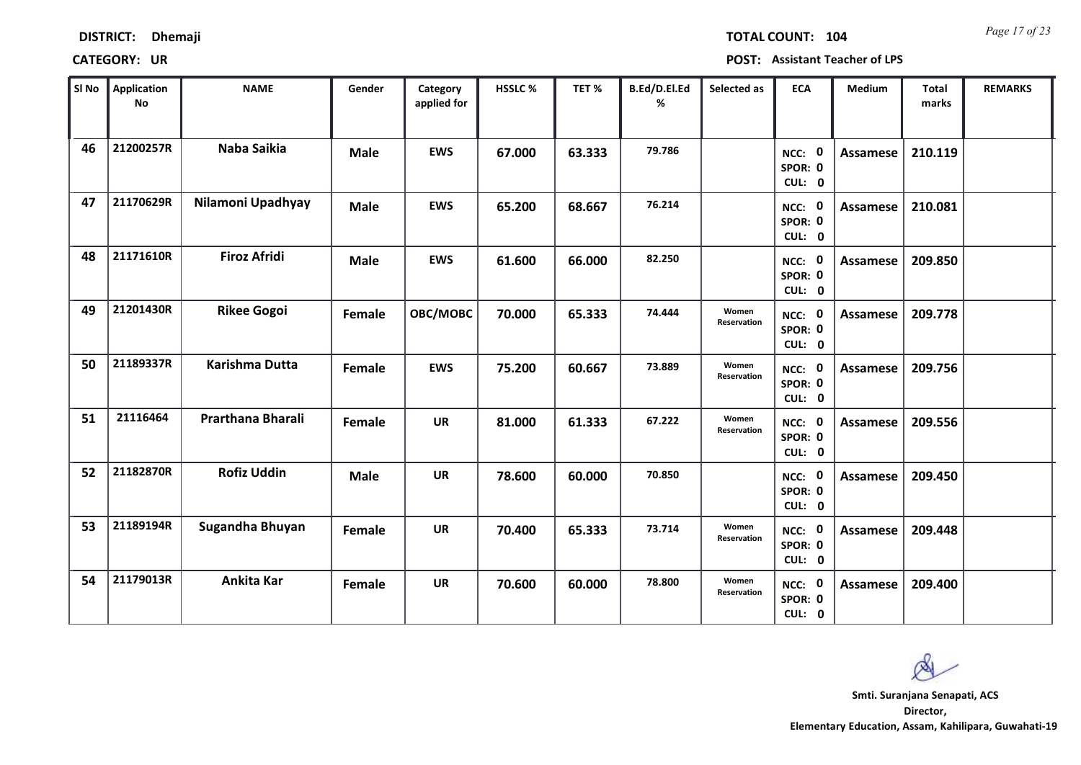| <b>DISTRICT:</b> | <b>Dhemaji</b> |
|------------------|----------------|
|                  |                |

*Page 17 of 23* **TOTAL COUNT: 104**

| SI No | <b>Application</b><br>$\mathsf{No}$ | <b>NAME</b>         | Gender      | Category<br>applied for | HSSLC % | TET %  | B.Ed/D.El.Ed<br>% | Selected as          | <b>ECA</b>                  | Medium          | <b>Total</b><br>marks | <b>REMARKS</b> |
|-------|-------------------------------------|---------------------|-------------|-------------------------|---------|--------|-------------------|----------------------|-----------------------------|-----------------|-----------------------|----------------|
| 46    | 21200257R                           | Naba Saikia         | <b>Male</b> | <b>EWS</b>              | 67.000  | 63.333 | 79.786            |                      | NCC: 0<br>SPOR: 0<br>CUL: 0 | <b>Assamese</b> | 210.119               |                |
| 47    | 21170629R                           | Nilamoni Upadhyay   | <b>Male</b> | <b>EWS</b>              | 65.200  | 68.667 | 76.214            |                      | NCC: 0<br>SPOR: 0<br>CUL: 0 | Assamese        | 210.081               |                |
| 48    | 21171610R                           | <b>Firoz Afridi</b> | <b>Male</b> | <b>EWS</b>              | 61.600  | 66.000 | 82.250            |                      | NCC: 0<br>SPOR: 0<br>CUL: 0 | <b>Assamese</b> | 209.850               |                |
| 49    | 21201430R                           | <b>Rikee Gogoi</b>  | Female      | OBC/MOBC                | 70.000  | 65.333 | 74.444            | Women<br>Reservation | NCC: 0<br>SPOR: 0<br>CUL: 0 | Assamese        | 209.778               |                |
| 50    | 21189337R                           | Karishma Dutta      | Female      | <b>EWS</b>              | 75.200  | 60.667 | 73.889            | Women<br>Reservation | NCC: 0<br>SPOR: 0<br>CUL: 0 | <b>Assamese</b> | 209.756               |                |
| 51    | 21116464                            | Prarthana Bharali   | Female      | <b>UR</b>               | 81.000  | 61.333 | 67.222            | Women<br>Reservation | NCC: 0<br>SPOR: 0<br>CUL: 0 | Assamese        | 209.556               |                |
| 52    | 21182870R                           | <b>Rofiz Uddin</b>  | <b>Male</b> | <b>UR</b>               | 78.600  | 60.000 | 70.850            |                      | NCC: 0<br>SPOR: 0<br>CUL: 0 | Assamese        | 209.450               |                |
| 53    | 21189194R                           | Sugandha Bhuyan     | Female      | <b>UR</b>               | 70.400  | 65.333 | 73.714            | Women<br>Reservation | NCC: 0<br>SPOR: 0<br>CUL: 0 | <b>Assamese</b> | 209.448               |                |
| 54    | 21179013R                           | Ankita Kar          | Female      | <b>UR</b>               | 70.600  | 60.000 | 78.800            | Women<br>Reservation | NCC: 0<br>SPOR: 0<br>CUL: 0 | Assamese        | 209.400               |                |

 $\infty$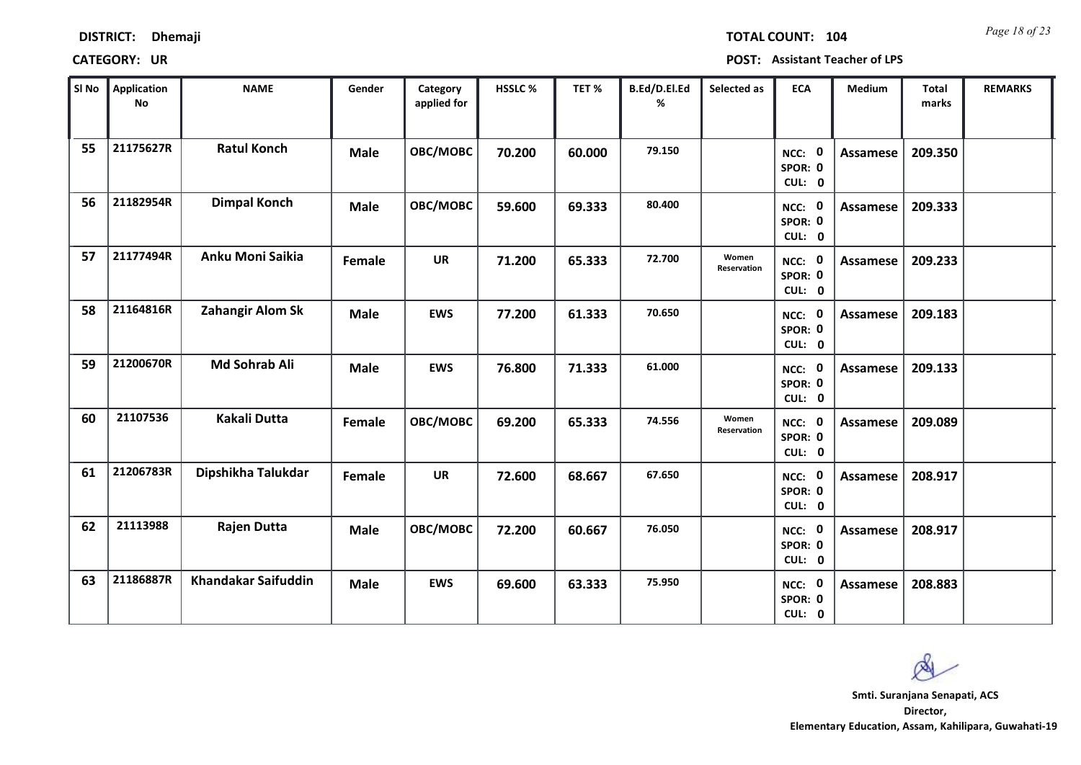| <b>DISTRICT:</b><br><b>Dhemaji</b> |
|------------------------------------|
|------------------------------------|

*Page 18 of 23* **TOTAL COUNT: 104**

| SI No | <b>Application</b><br>No | <b>NAME</b>                | Gender      | Category<br>applied for | <b>HSSLC %</b> | TET %  | B.Ed/D.El.Ed<br>% | Selected as          | <b>ECA</b>                  | <b>Medium</b>   | <b>Total</b><br>marks | <b>REMARKS</b> |
|-------|--------------------------|----------------------------|-------------|-------------------------|----------------|--------|-------------------|----------------------|-----------------------------|-----------------|-----------------------|----------------|
| 55    | 21175627R                | <b>Ratul Konch</b>         | <b>Male</b> | OBC/MOBC                | 70.200         | 60.000 | 79.150            |                      | NCC: 0<br>SPOR: 0<br>CUL: 0 | <b>Assamese</b> | 209.350               |                |
| 56    | 21182954R                | <b>Dimpal Konch</b>        | <b>Male</b> | OBC/MOBC                | 59.600         | 69.333 | 80.400            |                      | NCC: 0<br>SPOR: 0<br>CUL: 0 | Assamese        | 209.333               |                |
| 57    | 21177494R                | Anku Moni Saikia           | Female      | <b>UR</b>               | 71.200         | 65.333 | 72.700            | Women<br>Reservation | NCC: 0<br>SPOR: 0<br>CUL: 0 | Assamese        | 209.233               |                |
| 58    | 21164816R                | Zahangir Alom Sk           | <b>Male</b> | <b>EWS</b>              | 77.200         | 61.333 | 70.650            |                      | NCC: 0<br>SPOR: 0<br>CUL: 0 | Assamese        | 209.183               |                |
| 59    | 21200670R                | Md Sohrab Ali              | <b>Male</b> | <b>EWS</b>              | 76.800         | 71.333 | 61.000            |                      | NCC: 0<br>SPOR: 0<br>CUL: 0 | Assamese        | 209.133               |                |
| 60    | 21107536                 | <b>Kakali Dutta</b>        | Female      | OBC/MOBC                | 69.200         | 65.333 | 74.556            | Women<br>Reservation | NCC: 0<br>SPOR: 0<br>CUL: 0 | Assamese        | 209.089               |                |
| 61    | 21206783R                | Dipshikha Talukdar         | Female      | <b>UR</b>               | 72.600         | 68.667 | 67.650            |                      | NCC: 0<br>SPOR: 0<br>CUL: 0 | Assamese        | 208.917               |                |
| 62    | 21113988                 | Rajen Dutta                | <b>Male</b> | OBC/MOBC                | 72.200         | 60.667 | 76.050            |                      | NCC: 0<br>SPOR: 0<br>CUL: 0 | <b>Assamese</b> | 208.917               |                |
| 63    | 21186887R                | <b>Khandakar Saifuddin</b> | <b>Male</b> | <b>EWS</b>              | 69.600         | 63.333 | 75.950            |                      | NCC: 0<br>SPOR: 0<br>CUL: 0 | Assamese        | 208.883               |                |

 $\infty$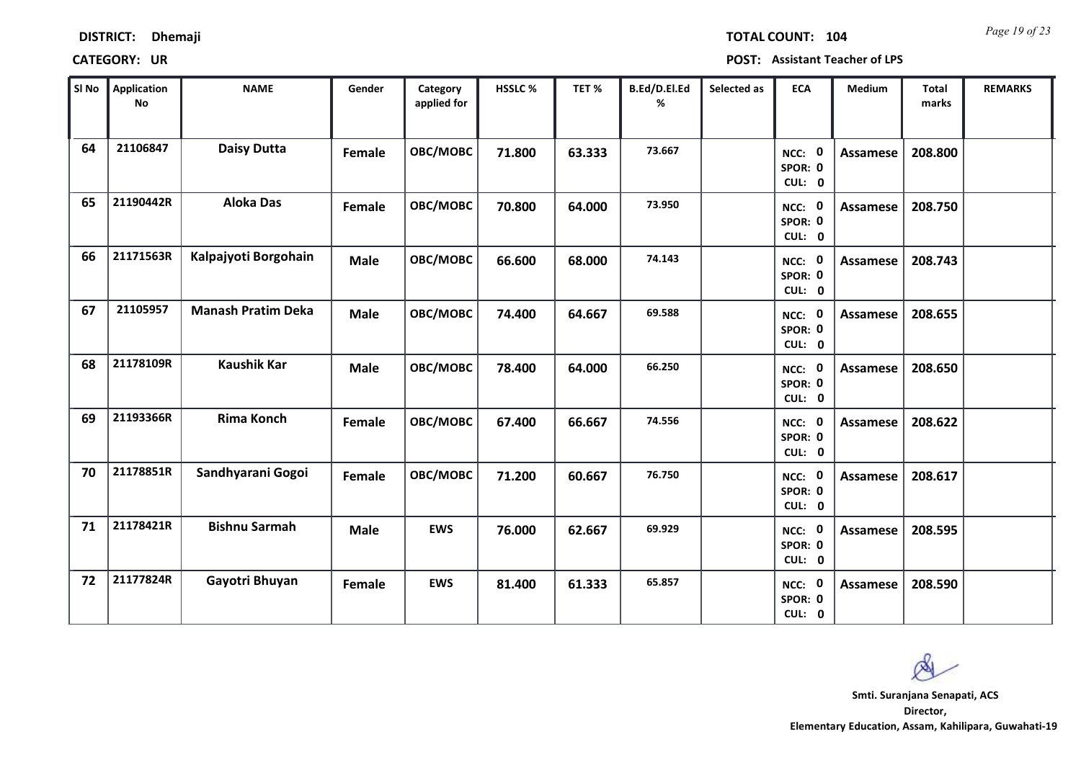| <b>DISTRICT:</b> | <b>Dhemaji</b> |
|------------------|----------------|
|------------------|----------------|

*Page 19 of 23* **TOTAL COUNT: 104**

| SI No | Application<br>No | <b>NAME</b>               | Gender      | Category<br>applied for | <b>HSSLC %</b> | TET%   | B.Ed/D.El.Ed<br>% | Selected as | <b>ECA</b>                  | <b>Medium</b>   | <b>Total</b><br>marks | <b>REMARKS</b> |
|-------|-------------------|---------------------------|-------------|-------------------------|----------------|--------|-------------------|-------------|-----------------------------|-----------------|-----------------------|----------------|
| 64    | 21106847          | <b>Daisy Dutta</b>        | Female      | OBC/MOBC                | 71.800         | 63.333 | 73.667            |             | NCC: 0<br>SPOR: 0<br>CUL: 0 | <b>Assamese</b> | 208.800               |                |
| 65    | 21190442R         | <b>Aloka Das</b>          | Female      | OBC/MOBC                | 70.800         | 64.000 | 73.950            |             | NCC: 0<br>SPOR: 0<br>CUL: 0 | Assamese        | 208.750               |                |
| 66    | 21171563R         | Kalpajyoti Borgohain      | <b>Male</b> | OBC/MOBC                | 66.600         | 68.000 | 74.143            |             | NCC: 0<br>SPOR: 0<br>CUL: 0 | <b>Assamese</b> | 208.743               |                |
| 67    | 21105957          | <b>Manash Pratim Deka</b> | <b>Male</b> | OBC/MOBC                | 74.400         | 64.667 | 69.588            |             | NCC: 0<br>SPOR: 0<br>CUL: 0 | Assamese        | 208.655               |                |
| 68    | 21178109R         | <b>Kaushik Kar</b>        | <b>Male</b> | OBC/MOBC                | 78.400         | 64.000 | 66.250            |             | NCC: 0<br>SPOR: 0<br>CUL: 0 | Assamese        | 208.650               |                |
| 69    | 21193366R         | <b>Rima Konch</b>         | Female      | OBC/MOBC                | 67.400         | 66.667 | 74.556            |             | NCC: 0<br>SPOR: 0<br>CUL: 0 | Assamese        | 208.622               |                |
| 70    | 21178851R         | Sandhyarani Gogoi         | Female      | OBC/MOBC                | 71.200         | 60.667 | 76.750            |             | NCC: 0<br>SPOR: 0<br>CUL: 0 | Assamese        | 208.617               |                |
| 71    | 21178421R         | <b>Bishnu Sarmah</b>      | <b>Male</b> | <b>EWS</b>              | 76.000         | 62.667 | 69.929            |             | NCC: 0<br>SPOR: 0<br>CUL: 0 | <b>Assamese</b> | 208.595               |                |
| 72    | 21177824R         | Gayotri Bhuyan            | Female      | <b>EWS</b>              | 81.400         | 61.333 | 65.857            |             | NCC: 0<br>SPOR: 0<br>CUL: 0 | Assamese        | 208.590               |                |

 $\infty$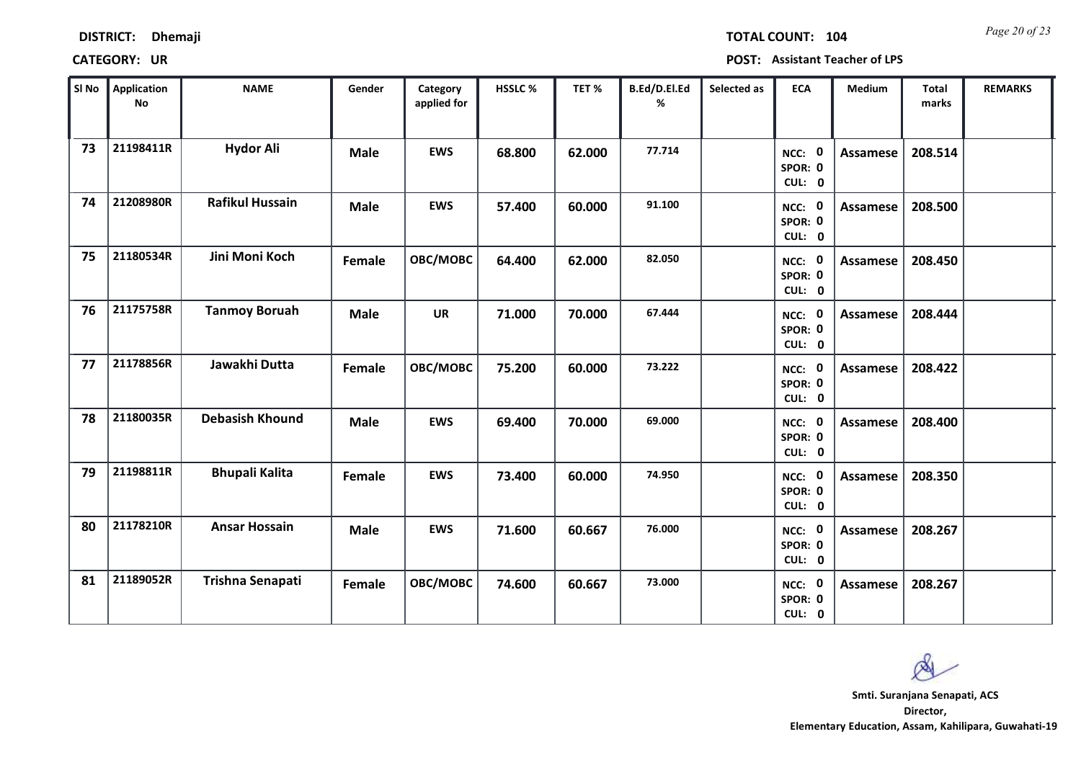| <b>DISTRICT:</b> | <b>Dhemaji</b> |
|------------------|----------------|
|                  |                |

*Page 20 of 23* **TOTAL COUNT: 104**

| SI No | <b>Application</b><br>No | <b>NAME</b>            | Gender      | Category<br>applied for | HSSLC % | TET %  | B.Ed/D.El.Ed<br>% | Selected as | <b>ECA</b>                         | <b>Medium</b>   | <b>Total</b><br>marks | <b>REMARKS</b> |
|-------|--------------------------|------------------------|-------------|-------------------------|---------|--------|-------------------|-------------|------------------------------------|-----------------|-----------------------|----------------|
| 73    | 21198411R                | <b>Hydor Ali</b>       | <b>Male</b> | <b>EWS</b>              | 68.800  | 62.000 | 77.714            |             | NCC: 0<br>SPOR: 0<br>CUL: 0        | <b>Assamese</b> | 208.514               |                |
| 74    | 21208980R                | <b>Rafikul Hussain</b> | <b>Male</b> | <b>EWS</b>              | 57.400  | 60.000 | 91.100            |             | NCC: 0<br>SPOR: 0<br>CUL: 0        | <b>Assamese</b> | 208.500               |                |
| 75    | 21180534R                | Jini Moni Koch         | Female      | OBC/MOBC                | 64.400  | 62.000 | 82.050            |             | NCC: 0<br>SPOR: 0<br>CUL: 0        | <b>Assamese</b> | 208.450               |                |
| 76    | 21175758R                | <b>Tanmoy Boruah</b>   | <b>Male</b> | <b>UR</b>               | 71.000  | 70.000 | 67.444            |             | <b>NCC: 0</b><br>SPOR: 0<br>CUL: 0 | Assamese        | 208.444               |                |
| 77    | 21178856R                | Jawakhi Dutta          | Female      | OBC/MOBC                | 75.200  | 60.000 | 73.222            |             | NCC: 0<br>SPOR: 0<br>CUL: 0        | <b>Assamese</b> | 208.422               |                |
| 78    | 21180035R                | <b>Debasish Khound</b> | <b>Male</b> | <b>EWS</b>              | 69.400  | 70.000 | 69.000            |             | NCC: 0<br>SPOR: 0<br>CUL: 0        | <b>Assamese</b> | 208.400               |                |
| 79    | 21198811R                | <b>Bhupali Kalita</b>  | Female      | <b>EWS</b>              | 73.400  | 60.000 | 74.950            |             | NCC: 0<br>SPOR: 0<br>CUL: 0        | <b>Assamese</b> | 208.350               |                |
| 80    | 21178210R                | <b>Ansar Hossain</b>   | <b>Male</b> | <b>EWS</b>              | 71.600  | 60.667 | 76.000            |             | NCC: 0<br>SPOR: 0<br>CUL: 0        | <b>Assamese</b> | 208.267               |                |
| 81    | 21189052R                | Trishna Senapati       | Female      | OBC/MOBC                | 74.600  | 60.667 | 73.000            |             | NCC: 0<br>SPOR: 0<br>CUL: 0        | <b>Assamese</b> | 208.267               |                |

 $\infty$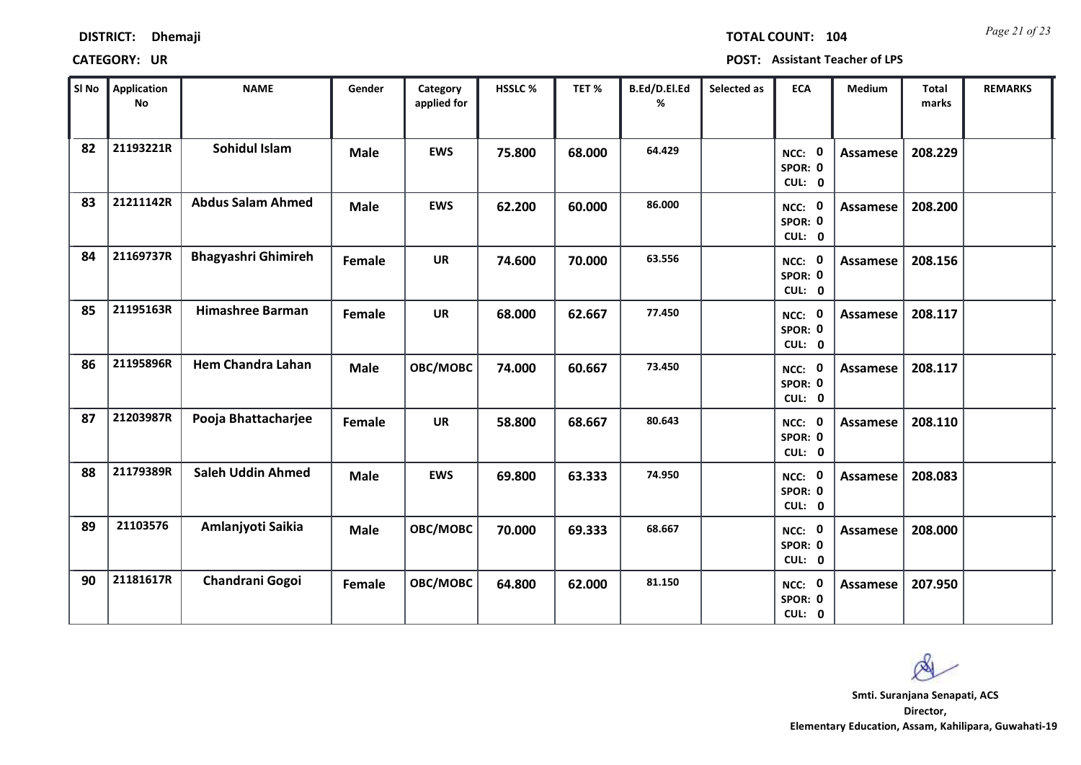| <b>DISTRICT:</b> | <b>Dhemaji</b> |
|------------------|----------------|
|------------------|----------------|

*Page 21 of 23* **TOTAL COUNT: 104**

| SI No | Application<br><b>No</b> | <b>NAME</b>                | Gender      | Category<br>applied for | <b>HSSLC %</b> | TET%   | B.Ed/D.El.Ed<br>% | Selected as | <b>ECA</b>                  | <b>Medium</b>   | <b>Total</b><br>marks | <b>REMARKS</b> |
|-------|--------------------------|----------------------------|-------------|-------------------------|----------------|--------|-------------------|-------------|-----------------------------|-----------------|-----------------------|----------------|
| 82    | 21193221R                | Sohidul Islam              | <b>Male</b> | <b>EWS</b>              | 75.800         | 68.000 | 64.429            |             | NCC: 0<br>SPOR: 0<br>CUL: 0 | <b>Assamese</b> | 208.229               |                |
| 83    | 21211142R                | <b>Abdus Salam Ahmed</b>   | <b>Male</b> | <b>EWS</b>              | 62.200         | 60.000 | 86.000            |             | NCC: 0<br>SPOR: 0<br>CUL: 0 | Assamese        | 208.200               |                |
| 84    | 21169737R                | <b>Bhagyashri Ghimireh</b> | Female      | <b>UR</b>               | 74.600         | 70.000 | 63.556            |             | NCC: 0<br>SPOR: 0<br>CUL: 0 | <b>Assamese</b> | 208.156               |                |
| 85    | 21195163R                | <b>Himashree Barman</b>    | Female      | <b>UR</b>               | 68.000         | 62.667 | 77.450            |             | NCC: 0<br>SPOR: 0<br>CUL: 0 | Assamese        | 208.117               |                |
| 86    | 21195896R                | <b>Hem Chandra Lahan</b>   | <b>Male</b> | OBC/MOBC                | 74.000         | 60.667 | 73.450            |             | NCC: 0<br>SPOR: 0<br>CUL: 0 | Assamese        | 208.117               |                |
| 87    | 21203987R                | Pooja Bhattacharjee        | Female      | <b>UR</b>               | 58.800         | 68.667 | 80.643            |             | NCC: 0<br>SPOR: 0<br>CUL: 0 | Assamese        | 208.110               |                |
| 88    | 21179389R                | <b>Saleh Uddin Ahmed</b>   | <b>Male</b> | <b>EWS</b>              | 69.800         | 63.333 | 74.950            |             | NCC: 0<br>SPOR: 0<br>CUL: 0 | Assamese        | 208.083               |                |
| 89    | 21103576                 | Amlanjyoti Saikia          | <b>Male</b> | OBC/MOBC                | 70.000         | 69.333 | 68.667            |             | NCC: 0<br>SPOR: 0<br>CUL: 0 | <b>Assamese</b> | 208.000               |                |
| 90    | 21181617R                | Chandrani Gogoi            | Female      | OBC/MOBC                | 64.800         | 62.000 | 81.150            |             | NCC: 0<br>SPOR: 0<br>CUL: 0 | <b>Assamese</b> | 207.950               |                |

 $\infty$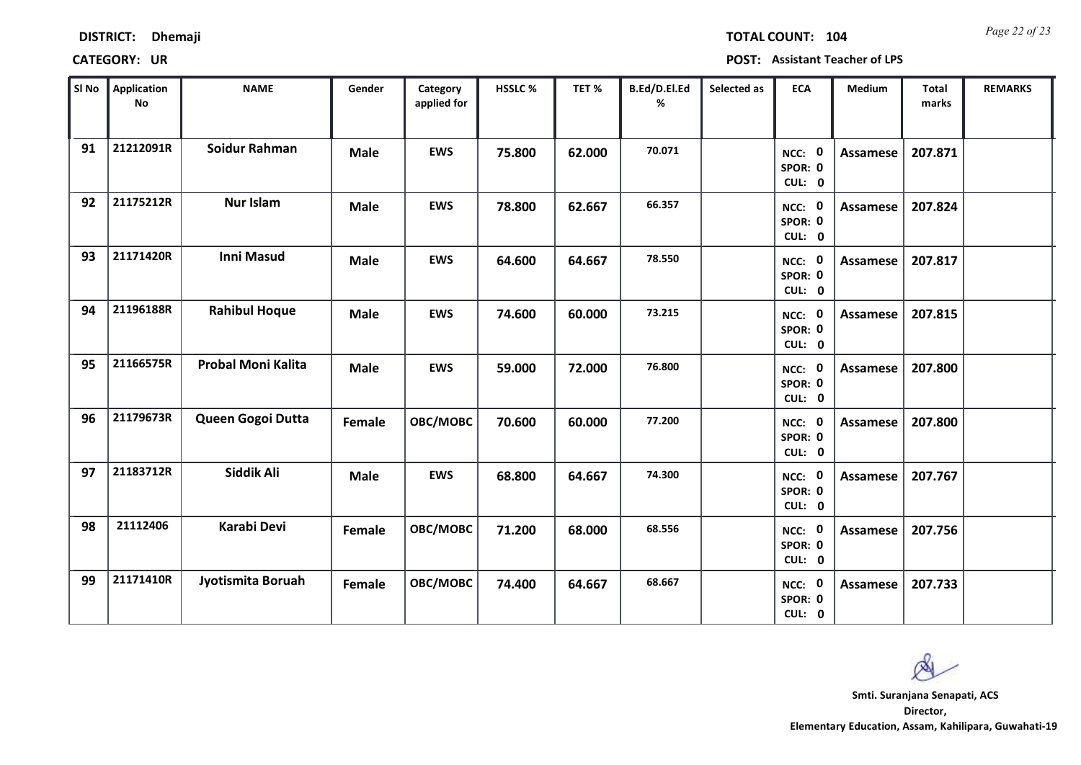| <b>DISTRICT:</b> | <b>Dhemaji</b> |
|------------------|----------------|
|------------------|----------------|

*Page 22 of 23* **TOTAL COUNT: 104**

| SI No | <b>Application</b><br><b>No</b> | <b>NAME</b>               | Gender      | Category<br>applied for | HSSLC % | TET %  | B.Ed/D.El.Ed<br>% | Selected as | <b>ECA</b>                  | <b>Medium</b>   | Total<br>marks | <b>REMARKS</b> |
|-------|---------------------------------|---------------------------|-------------|-------------------------|---------|--------|-------------------|-------------|-----------------------------|-----------------|----------------|----------------|
| 91    | 21212091R                       | <b>Soidur Rahman</b>      | <b>Male</b> | <b>EWS</b>              | 75.800  | 62.000 | 70.071            |             | NCC: 0<br>SPOR: 0<br>CUL: 0 | Assamese        | 207.871        |                |
| 92    | 21175212R                       | <b>Nur Islam</b>          | <b>Male</b> | <b>EWS</b>              | 78.800  | 62.667 | 66.357            |             | NCC: 0<br>SPOR: 0<br>CUL: 0 | Assamese        | 207.824        |                |
| 93    | 21171420R                       | <b>Inni Masud</b>         | <b>Male</b> | <b>EWS</b>              | 64.600  | 64.667 | 78.550            |             | NCC: 0<br>SPOR: 0<br>CUL: 0 | Assamese        | 207.817        |                |
| 94    | 21196188R                       | <b>Rahibul Hoque</b>      | <b>Male</b> | <b>EWS</b>              | 74.600  | 60.000 | 73.215            |             | NCC: 0<br>SPOR: 0<br>CUL: 0 | Assamese        | 207.815        |                |
| 95    | 21166575R                       | <b>Probal Moni Kalita</b> | <b>Male</b> | <b>EWS</b>              | 59.000  | 72.000 | 76.800            |             | NCC: 0<br>SPOR: 0<br>CUL: 0 | Assamese        | 207.800        |                |
| 96    | 21179673R                       | Queen Gogoi Dutta         | Female      | OBC/MOBC                | 70.600  | 60.000 | 77.200            |             | NCC: 0<br>SPOR: 0<br>CUL: 0 | <b>Assamese</b> | 207.800        |                |
| 97    | 21183712R                       | Siddik Ali                | <b>Male</b> | <b>EWS</b>              | 68.800  | 64.667 | 74.300            |             | NCC: 0<br>SPOR: 0<br>CUL: 0 | Assamese        | 207.767        |                |
| 98    | 21112406                        | Karabi Devi               | Female      | OBC/MOBC                | 71.200  | 68.000 | 68.556            |             | NCC: 0<br>SPOR: 0<br>CUL: 0 | <b>Assamese</b> | 207.756        |                |
| 99    | 21171410R                       | Jyotismita Boruah         | Female      | OBC/MOBC                | 74.400  | 64.667 | 68.667            |             | NCC: 0<br>SPOR: 0<br>CUL: 0 | Assamese        | 207.733        |                |

Ø